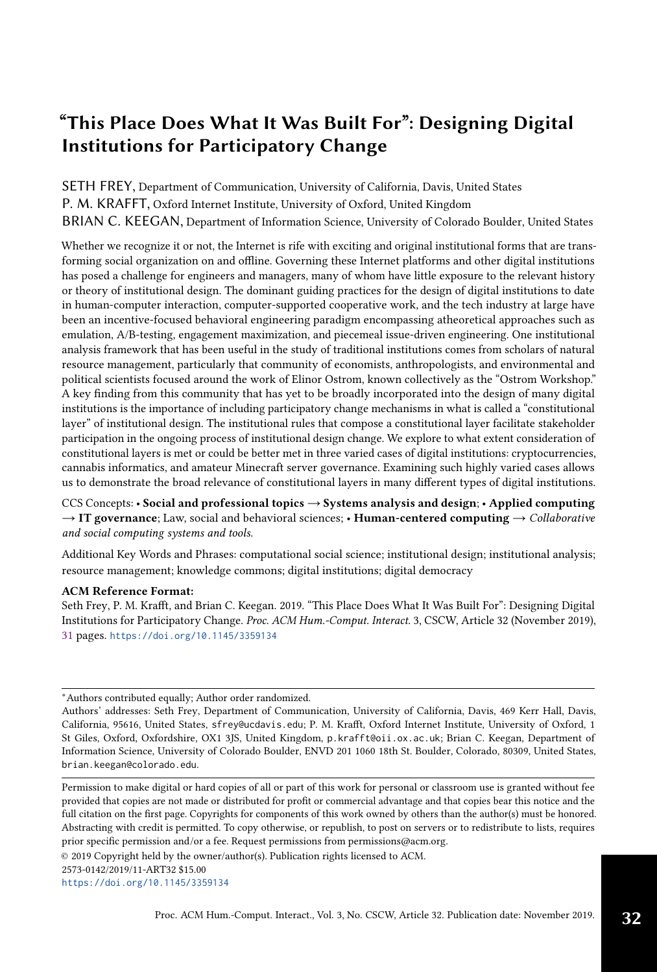# "This Place Does What It Was Built For": Designing Digital Institutions for Participatory Change

SETH FREY, Department of Communication, University of California, Davis, United States P. M. KRAFFT, Oxford Internet Institute, University of Oxford, United Kingdom BRIAN C. KEEGAN, Department of Information Science, University of Colorado Boulder, United States

Whether we recognize it or not, the Internet is rife with exciting and original institutional forms that are transforming social organization on and offline. Governing these Internet platforms and other digital institutions has posed a challenge for engineers and managers, many of whom have little exposure to the relevant history or theory of institutional design. The dominant guiding practices for the design of digital institutions to date in human-computer interaction, computer-supported cooperative work, and the tech industry at large have been an incentive-focused behavioral engineering paradigm encompassing atheoretical approaches such as emulation, A/B-testing, engagement maximization, and piecemeal issue-driven engineering. One institutional analysis framework that has been useful in the study of traditional institutions comes from scholars of natural resource management, particularly that community of economists, anthropologists, and environmental and political scientists focused around the work of Elinor Ostrom, known collectively as the "Ostrom Workshop." A key finding from this community that has yet to be broadly incorporated into the design of many digital institutions is the importance of including participatory change mechanisms in what is called a "constitutional layer" of institutional design. The institutional rules that compose a constitutional layer facilitate stakeholder participation in the ongoing process of institutional design change. We explore to what extent consideration of constitutional layers is met or could be better met in three varied cases of digital institutions: cryptocurrencies, cannabis informatics, and amateur Minecraft server governance. Examining such highly varied cases allows us to demonstrate the broad relevance of constitutional layers in many different types of digital institutions.

CCS Concepts: • Social and professional topics → Systems analysis and design; • Applied computing  $\rightarrow$  IT governance; Law, social and behavioral sciences; • Human-centered computing  $\rightarrow$  Collaborative and social computing systems and tools.

Additional Key Words and Phrases: computational social science; institutional design; institutional analysis; resource management; knowledge commons; digital institutions; digital democracy

#### ACM Reference Format:

Seth Frey, P. M. Krafft, and Brian C. Keegan. 2019. "This Place Does What It Was Built For": Designing Digital Institutions for Participatory Change. Proc. ACM Hum.-Comput. Interact. 3, CSCW, Article 32 (November 2019), [31](#page-30-0) pages. <https://doi.org/10.1145/3359134>

<sup>∗</sup>Authors contributed equally; Author order randomized.

© 2019 Copyright held by the owner/author(s). Publication rights licensed to ACM.

<https://doi.org/10.1145/3359134>

Authors' addresses: Seth Frey, Department of Communication, University of California, Davis, 469 Kerr Hall, Davis, California, 95616, United States, sfrey@ucdavis.edu; P. M. Krafft, Oxford Internet Institute, University of Oxford, 1 St Giles, Oxford, Oxfordshire, OX1 3JS, United Kingdom, p.krafft@oii.ox.ac.uk; Brian C. Keegan, Department of Information Science, University of Colorado Boulder, ENVD 201 1060 18th St. Boulder, Colorado, 80309, United States, brian.keegan@colorado.edu.

Permission to make digital or hard copies of all or part of this work for personal or classroom use is granted without fee provided that copies are not made or distributed for profit or commercial advantage and that copies bear this notice and the full citation on the first page. Copyrights for components of this work owned by others than the author(s) must be honored. Abstracting with credit is permitted. To copy otherwise, or republish, to post on servers or to redistribute to lists, requires prior specific permission and/or a fee. Request permissions from permissions@acm.org.

<sup>2573-0142/2019/11-</sup>ART32 \$15.00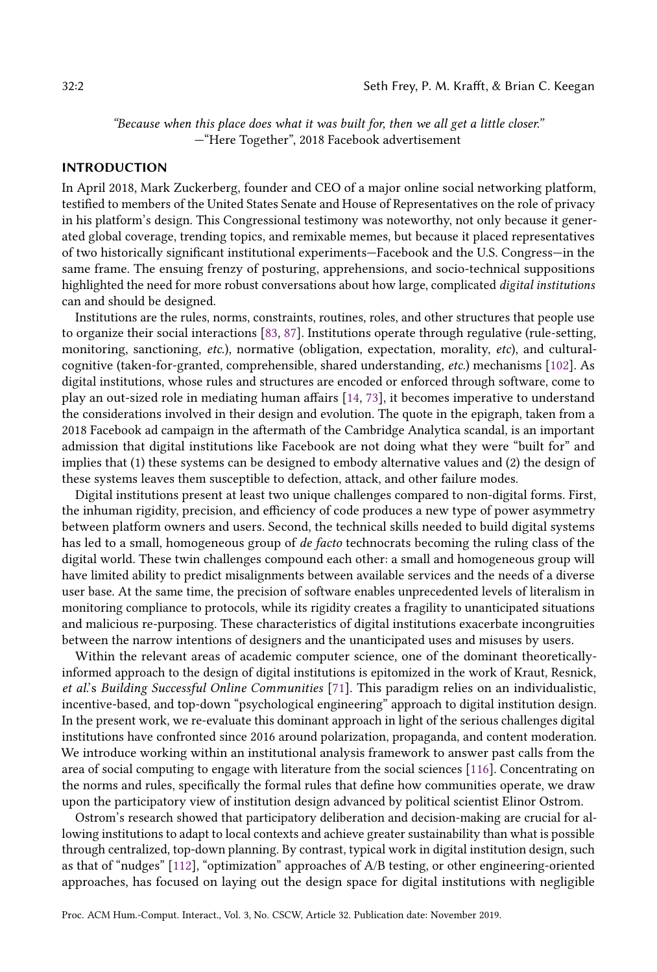"Because when this place does what it was built for, then we all get a little closer." —"Here Together", 2018 Facebook advertisement

## INTRODUCTION

In April 2018, Mark Zuckerberg, founder and CEO of a major online social networking platform, testified to members of the United States Senate and House of Representatives on the role of privacy in his platform's design. This Congressional testimony was noteworthy, not only because it generated global coverage, trending topics, and remixable memes, but because it placed representatives of two historically significant institutional experiments—Facebook and the U.S. Congress—in the same frame. The ensuing frenzy of posturing, apprehensions, and socio-technical suppositions highlighted the need for more robust conversations about how large, complicated digital institutions can and should be designed.

Institutions are the rules, norms, constraints, routines, roles, and other structures that people use to organize their social interactions [\[83,](#page-29-0) [87\]](#page-29-1). Institutions operate through regulative (rule-setting, monitoring, sanctioning, etc.), normative (obligation, expectation, morality, etc), and culturalcognitive (taken-for-granted, comprehensible, shared understanding, etc.) mechanisms [\[102\]](#page-30-1). As digital institutions, whose rules and structures are encoded or enforced through software, come to play an out-sized role in mediating human affairs [\[14,](#page-27-0) [73\]](#page-29-2), it becomes imperative to understand the considerations involved in their design and evolution. The quote in the epigraph, taken from a 2018 Facebook ad campaign in the aftermath of the Cambridge Analytica scandal, is an important admission that digital institutions like Facebook are not doing what they were "built for" and implies that (1) these systems can be designed to embody alternative values and (2) the design of these systems leaves them susceptible to defection, attack, and other failure modes.

Digital institutions present at least two unique challenges compared to non-digital forms. First, the inhuman rigidity, precision, and efficiency of code produces a new type of power asymmetry between platform owners and users. Second, the technical skills needed to build digital systems has led to a small, homogeneous group of de facto technocrats becoming the ruling class of the digital world. These twin challenges compound each other: a small and homogeneous group will have limited ability to predict misalignments between available services and the needs of a diverse user base. At the same time, the precision of software enables unprecedented levels of literalism in monitoring compliance to protocols, while its rigidity creates a fragility to unanticipated situations and malicious re-purposing. These characteristics of digital institutions exacerbate incongruities between the narrow intentions of designers and the unanticipated uses and misuses by users.

Within the relevant areas of academic computer science, one of the dominant theoreticallyinformed approach to the design of digital institutions is epitomized in the work of Kraut, Resnick, et al.'s Building Successful Online Communities [\[71\]](#page-28-0). This paradigm relies on an individualistic, incentive-based, and top-down "psychological engineering" approach to digital institution design. In the present work, we re-evaluate this dominant approach in light of the serious challenges digital institutions have confronted since 2016 around polarization, propaganda, and content moderation. We introduce working within an institutional analysis framework to answer past calls from the area of social computing to engage with literature from the social sciences [\[116\]](#page-30-2). Concentrating on the norms and rules, specifically the formal rules that define how communities operate, we draw upon the participatory view of institution design advanced by political scientist Elinor Ostrom.

Ostrom's research showed that participatory deliberation and decision-making are crucial for allowing institutions to adapt to local contexts and achieve greater sustainability than what is possible through centralized, top-down planning. By contrast, typical work in digital institution design, such as that of "nudges" [\[112\]](#page-30-3), "optimization" approaches of A/B testing, or other engineering-oriented approaches, has focused on laying out the design space for digital institutions with negligible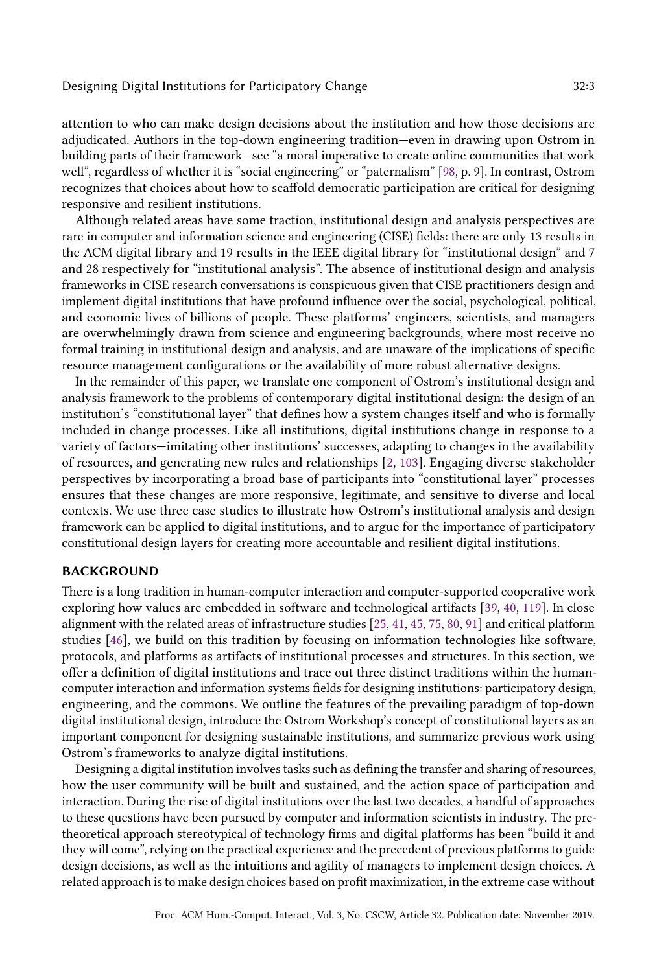attention to who can make design decisions about the institution and how those decisions are adjudicated. Authors in the top-down engineering tradition—even in drawing upon Ostrom in building parts of their framework—see "a moral imperative to create online communities that work well", regardless of whether it is "social engineering" or "paternalism" [\[98,](#page-29-3) p. 9]. In contrast, Ostrom recognizes that choices about how to scaffold democratic participation are critical for designing responsive and resilient institutions.

Although related areas have some traction, institutional design and analysis perspectives are rare in computer and information science and engineering (CISE) fields: there are only 13 results in the ACM digital library and 19 results in the IEEE digital library for "institutional design" and 7 and 28 respectively for "institutional analysis". The absence of institutional design and analysis frameworks in CISE research conversations is conspicuous given that CISE practitioners design and implement digital institutions that have profound influence over the social, psychological, political, and economic lives of billions of people. These platforms' engineers, scientists, and managers are overwhelmingly drawn from science and engineering backgrounds, where most receive no formal training in institutional design and analysis, and are unaware of the implications of specific resource management configurations or the availability of more robust alternative designs.

In the remainder of this paper, we translate one component of Ostrom's institutional design and analysis framework to the problems of contemporary digital institutional design: the design of an institution's "constitutional layer" that defines how a system changes itself and who is formally included in change processes. Like all institutions, digital institutions change in response to a variety of factors—imitating other institutions' successes, adapting to changes in the availability of resources, and generating new rules and relationships [\[2,](#page-26-0) [103\]](#page-30-4). Engaging diverse stakeholder perspectives by incorporating a broad base of participants into "constitutional layer" processes ensures that these changes are more responsive, legitimate, and sensitive to diverse and local contexts. We use three case studies to illustrate how Ostrom's institutional analysis and design framework can be applied to digital institutions, and to argue for the importance of participatory constitutional design layers for creating more accountable and resilient digital institutions.

#### BACKGROUND

There is a long tradition in human-computer interaction and computer-supported cooperative work exploring how values are embedded in software and technological artifacts [\[39,](#page-27-1) [40,](#page-27-2) [119\]](#page-30-5). In close alignment with the related areas of infrastructure studies [\[25,](#page-27-3) [41,](#page-27-4) [45,](#page-28-1) [75,](#page-29-4) [80,](#page-29-5) [91\]](#page-29-6) and critical platform studies [\[46\]](#page-28-2), we build on this tradition by focusing on information technologies like software, protocols, and platforms as artifacts of institutional processes and structures. In this section, we offer a definition of digital institutions and trace out three distinct traditions within the humancomputer interaction and information systems fields for designing institutions: participatory design, engineering, and the commons. We outline the features of the prevailing paradigm of top-down digital institutional design, introduce the Ostrom Workshop's concept of constitutional layers as an important component for designing sustainable institutions, and summarize previous work using Ostrom's frameworks to analyze digital institutions.

Designing a digital institution involves tasks such as defining the transfer and sharing of resources, how the user community will be built and sustained, and the action space of participation and interaction. During the rise of digital institutions over the last two decades, a handful of approaches to these questions have been pursued by computer and information scientists in industry. The pretheoretical approach stereotypical of technology firms and digital platforms has been "build it and they will come", relying on the practical experience and the precedent of previous platforms to guide design decisions, as well as the intuitions and agility of managers to implement design choices. A related approach is to make design choices based on profit maximization, in the extreme case without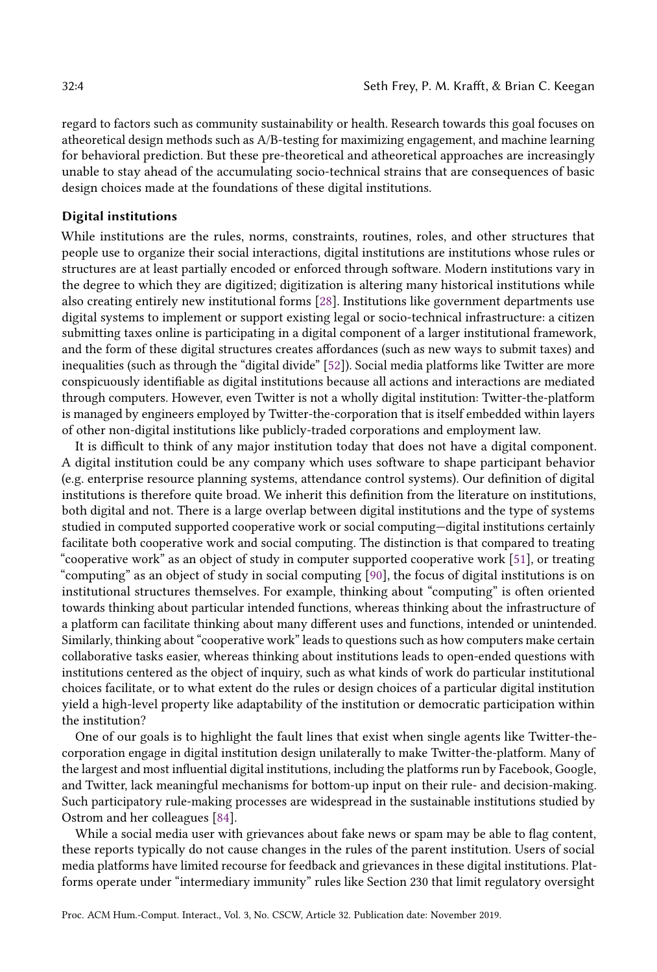regard to factors such as community sustainability or health. Research towards this goal focuses on atheoretical design methods such as A/B-testing for maximizing engagement, and machine learning for behavioral prediction. But these pre-theoretical and atheoretical approaches are increasingly unable to stay ahead of the accumulating socio-technical strains that are consequences of basic design choices made at the foundations of these digital institutions.

### Digital institutions

While institutions are the rules, norms, constraints, routines, roles, and other structures that people use to organize their social interactions, digital institutions are institutions whose rules or structures are at least partially encoded or enforced through software. Modern institutions vary in the degree to which they are digitized; digitization is altering many historical institutions while also creating entirely new institutional forms [\[28\]](#page-27-5). Institutions like government departments use digital systems to implement or support existing legal or socio-technical infrastructure: a citizen submitting taxes online is participating in a digital component of a larger institutional framework, and the form of these digital structures creates affordances (such as new ways to submit taxes) and inequalities (such as through the "digital divide" [\[52\]](#page-28-3)). Social media platforms like Twitter are more conspicuously identifiable as digital institutions because all actions and interactions are mediated through computers. However, even Twitter is not a wholly digital institution: Twitter-the-platform is managed by engineers employed by Twitter-the-corporation that is itself embedded within layers of other non-digital institutions like publicly-traded corporations and employment law.

It is difficult to think of any major institution today that does not have a digital component. A digital institution could be any company which uses software to shape participant behavior (e.g. enterprise resource planning systems, attendance control systems). Our definition of digital institutions is therefore quite broad. We inherit this definition from the literature on institutions, both digital and not. There is a large overlap between digital institutions and the type of systems studied in computed supported cooperative work or social computing—digital institutions certainly facilitate both cooperative work and social computing. The distinction is that compared to treating "cooperative work" as an object of study in computer supported cooperative work [\[51\]](#page-28-4), or treating "computing" as an object of study in social computing [\[90\]](#page-29-7), the focus of digital institutions is on institutional structures themselves. For example, thinking about "computing" is often oriented towards thinking about particular intended functions, whereas thinking about the infrastructure of a platform can facilitate thinking about many different uses and functions, intended or unintended. Similarly, thinking about "cooperative work" leads to questions such as how computers make certain collaborative tasks easier, whereas thinking about institutions leads to open-ended questions with institutions centered as the object of inquiry, such as what kinds of work do particular institutional choices facilitate, or to what extent do the rules or design choices of a particular digital institution yield a high-level property like adaptability of the institution or democratic participation within the institution?

One of our goals is to highlight the fault lines that exist when single agents like Twitter-thecorporation engage in digital institution design unilaterally to make Twitter-the-platform. Many of the largest and most influential digital institutions, including the platforms run by Facebook, Google, and Twitter, lack meaningful mechanisms for bottom-up input on their rule- and decision-making. Such participatory rule-making processes are widespread in the sustainable institutions studied by Ostrom and her colleagues [\[84\]](#page-29-8).

While a social media user with grievances about fake news or spam may be able to flag content, these reports typically do not cause changes in the rules of the parent institution. Users of social media platforms have limited recourse for feedback and grievances in these digital institutions. Platforms operate under "intermediary immunity" rules like Section 230 that limit regulatory oversight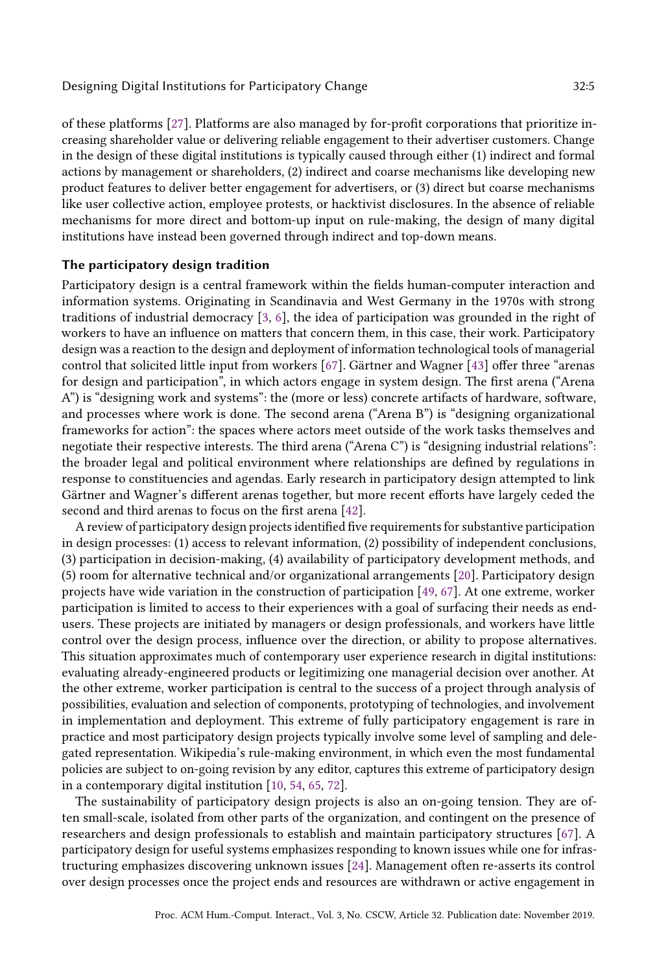of these platforms [\[27\]](#page-27-6). Platforms are also managed by for-profit corporations that prioritize increasing shareholder value or delivering reliable engagement to their advertiser customers. Change in the design of these digital institutions is typically caused through either (1) indirect and formal actions by management or shareholders, (2) indirect and coarse mechanisms like developing new product features to deliver better engagement for advertisers, or (3) direct but coarse mechanisms like user collective action, employee protests, or hacktivist disclosures. In the absence of reliable mechanisms for more direct and bottom-up input on rule-making, the design of many digital institutions have instead been governed through indirect and top-down means.

## The participatory design tradition

Participatory design is a central framework within the fields human-computer interaction and information systems. Originating in Scandinavia and West Germany in the 1970s with strong traditions of industrial democracy [\[3,](#page-26-1) [6\]](#page-26-2), the idea of participation was grounded in the right of workers to have an influence on matters that concern them, in this case, their work. Participatory design was a reaction to the design and deployment of information technological tools of managerial control that solicited little input from workers [\[67\]](#page-28-5). Gärtner and Wagner [\[43\]](#page-28-6) offer three "arenas for design and participation", in which actors engage in system design. The first arena ("Arena A") is "designing work and systems": the (more or less) concrete artifacts of hardware, software, and processes where work is done. The second arena ("Arena B") is "designing organizational frameworks for action": the spaces where actors meet outside of the work tasks themselves and negotiate their respective interests. The third arena ("Arena C") is "designing industrial relations": the broader legal and political environment where relationships are defined by regulations in response to constituencies and agendas. Early research in participatory design attempted to link Gärtner and Wagner's different arenas together, but more recent efforts have largely ceded the second and third arenas to focus on the first arena [\[42\]](#page-27-7).

A review of participatory design projects identified five requirements for substantive participation in design processes: (1) access to relevant information, (2) possibility of independent conclusions, (3) participation in decision-making, (4) availability of participatory development methods, and (5) room for alternative technical and/or organizational arrangements [\[20\]](#page-27-8). Participatory design projects have wide variation in the construction of participation [\[49,](#page-28-7) [67\]](#page-28-5). At one extreme, worker participation is limited to access to their experiences with a goal of surfacing their needs as endusers. These projects are initiated by managers or design professionals, and workers have little control over the design process, influence over the direction, or ability to propose alternatives. This situation approximates much of contemporary user experience research in digital institutions: evaluating already-engineered products or legitimizing one managerial decision over another. At the other extreme, worker participation is central to the success of a project through analysis of possibilities, evaluation and selection of components, prototyping of technologies, and involvement in implementation and deployment. This extreme of fully participatory engagement is rare in practice and most participatory design projects typically involve some level of sampling and delegated representation. Wikipedia's rule-making environment, in which even the most fundamental policies are subject to on-going revision by any editor, captures this extreme of participatory design in a contemporary digital institution [\[10,](#page-26-3) [54,](#page-28-8) [65,](#page-28-9) [72\]](#page-28-10).

The sustainability of participatory design projects is also an on-going tension. They are often small-scale, isolated from other parts of the organization, and contingent on the presence of researchers and design professionals to establish and maintain participatory structures [\[67\]](#page-28-5). A participatory design for useful systems emphasizes responding to known issues while one for infrastructuring emphasizes discovering unknown issues [\[24\]](#page-27-9). Management often re-asserts its control over design processes once the project ends and resources are withdrawn or active engagement in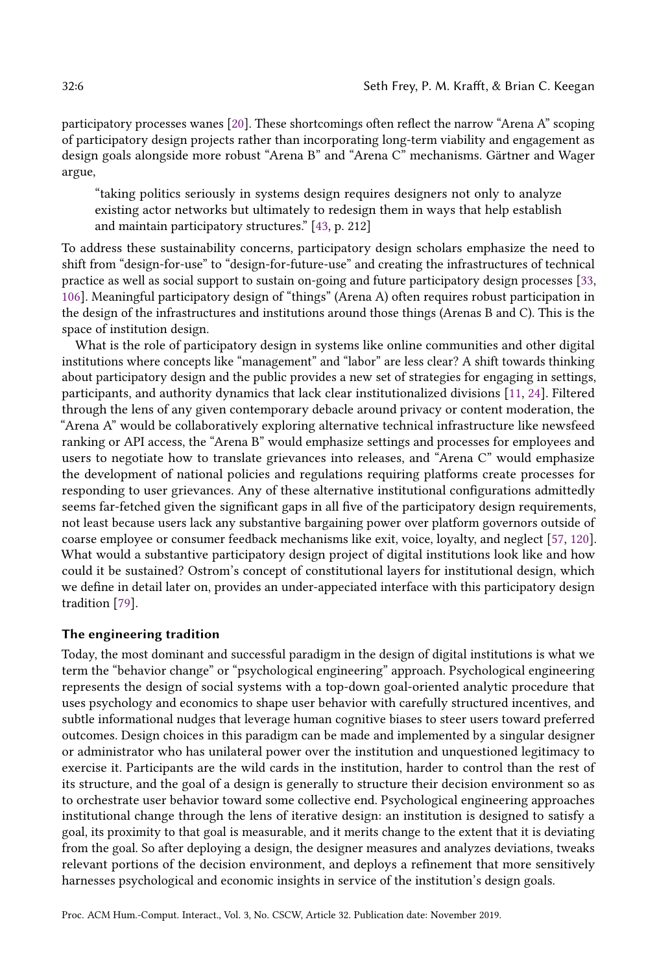participatory processes wanes [\[20\]](#page-27-8). These shortcomings often reflect the narrow "Arena A" scoping of participatory design projects rather than incorporating long-term viability and engagement as design goals alongside more robust "Arena B" and "Arena C" mechanisms. Gärtner and Wager argue,

"taking politics seriously in systems design requires designers not only to analyze existing actor networks but ultimately to redesign them in ways that help establish and maintain participatory structures." [\[43,](#page-28-6) p. 212]

To address these sustainability concerns, participatory design scholars emphasize the need to shift from "design-for-use" to "design-for-future-use" and creating the infrastructures of technical practice as well as social support to sustain on-going and future participatory design processes [\[33,](#page-27-10) [106\]](#page-30-6). Meaningful participatory design of "things" (Arena A) often requires robust participation in the design of the infrastructures and institutions around those things (Arenas B and C). This is the space of institution design.

What is the role of participatory design in systems like online communities and other digital institutions where concepts like "management" and "labor" are less clear? A shift towards thinking about participatory design and the public provides a new set of strategies for engaging in settings, participants, and authority dynamics that lack clear institutionalized divisions [\[11,](#page-26-4) [24\]](#page-27-9). Filtered through the lens of any given contemporary debacle around privacy or content moderation, the "Arena A" would be collaboratively exploring alternative technical infrastructure like newsfeed ranking or API access, the "Arena B" would emphasize settings and processes for employees and users to negotiate how to translate grievances into releases, and "Arena C" would emphasize the development of national policies and regulations requiring platforms create processes for responding to user grievances. Any of these alternative institutional configurations admittedly seems far-fetched given the significant gaps in all five of the participatory design requirements, not least because users lack any substantive bargaining power over platform governors outside of coarse employee or consumer feedback mechanisms like exit, voice, loyalty, and neglect [\[57,](#page-28-11) [120\]](#page-30-7). What would a substantive participatory design project of digital institutions look like and how could it be sustained? Ostrom's concept of constitutional layers for institutional design, which we define in detail later on, provides an under-appeciated interface with this participatory design tradition [\[79\]](#page-29-9).

## The engineering tradition

Today, the most dominant and successful paradigm in the design of digital institutions is what we term the "behavior change" or "psychological engineering" approach. Psychological engineering represents the design of social systems with a top-down goal-oriented analytic procedure that uses psychology and economics to shape user behavior with carefully structured incentives, and subtle informational nudges that leverage human cognitive biases to steer users toward preferred outcomes. Design choices in this paradigm can be made and implemented by a singular designer or administrator who has unilateral power over the institution and unquestioned legitimacy to exercise it. Participants are the wild cards in the institution, harder to control than the rest of its structure, and the goal of a design is generally to structure their decision environment so as to orchestrate user behavior toward some collective end. Psychological engineering approaches institutional change through the lens of iterative design: an institution is designed to satisfy a goal, its proximity to that goal is measurable, and it merits change to the extent that it is deviating from the goal. So after deploying a design, the designer measures and analyzes deviations, tweaks relevant portions of the decision environment, and deploys a refinement that more sensitively harnesses psychological and economic insights in service of the institution's design goals.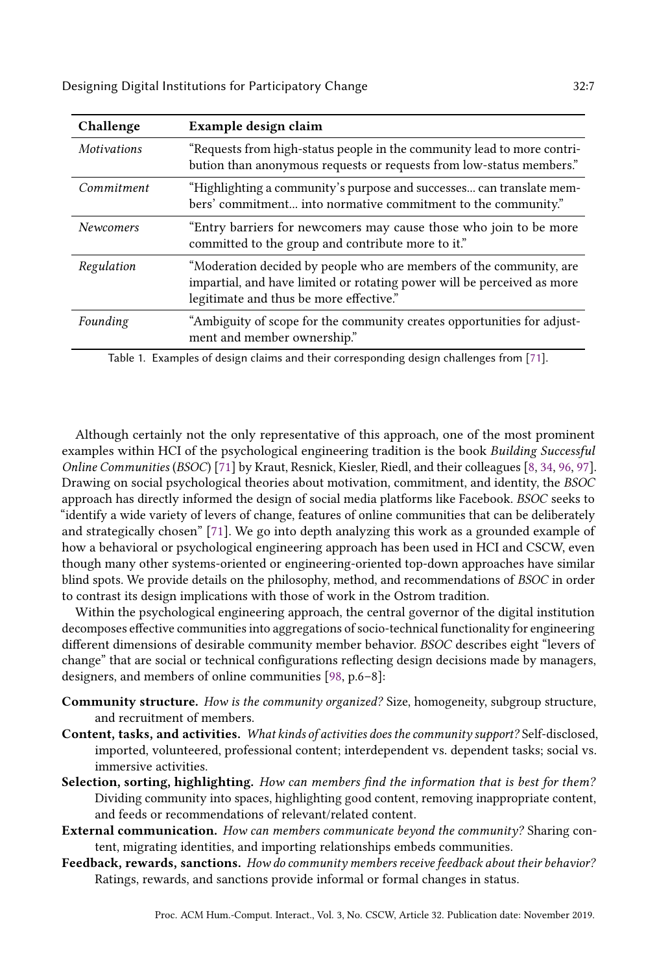<span id="page-6-0"></span>

| Challenge          | Example design claim                                                                                                                                                                      |
|--------------------|-------------------------------------------------------------------------------------------------------------------------------------------------------------------------------------------|
| <i>Motivations</i> | "Requests from high-status people in the community lead to more contri-<br>bution than anonymous requests or requests from low-status members."                                           |
| Commitment         | "Highlighting a community's purpose and successes can translate mem-<br>bers' commitment into normative commitment to the community."                                                     |
| <b>Newcomers</b>   | "Entry barriers for newcomers may cause those who join to be more<br>committed to the group and contribute more to it."                                                                   |
| Regulation         | "Moderation decided by people who are members of the community, are<br>impartial, and have limited or rotating power will be perceived as more<br>legitimate and thus be more effective." |
| Founding           | "Ambiguity of scope for the community creates opportunities for adjust-<br>ment and member ownership."                                                                                    |
|                    | Table 1. Examples of design claims and their corresponding design challenges from [71].                                                                                                   |

Although certainly not the only representative of this approach, one of the most prominent examples within HCI of the psychological engineering tradition is the book Building Successful Online Communities (BSOC) [\[71\]](#page-28-0) by Kraut, Resnick, Kiesler, Riedl, and their colleagues [\[8,](#page-26-5) [34,](#page-27-11) [96,](#page-29-10) [97\]](#page-29-11). Drawing on social psychological theories about motivation, commitment, and identity, the BSOC approach has directly informed the design of social media platforms like Facebook. BSOC seeks to "identify a wide variety of levers of change, features of online communities that can be deliberately and strategically chosen" [\[71\]](#page-28-0). We go into depth analyzing this work as a grounded example of how a behavioral or psychological engineering approach has been used in HCI and CSCW, even though many other systems-oriented or engineering-oriented top-down approaches have similar blind spots. We provide details on the philosophy, method, and recommendations of BSOC in order to contrast its design implications with those of work in the Ostrom tradition.

Within the psychological engineering approach, the central governor of the digital institution decomposes effective communities into aggregations of socio-technical functionality for engineering different dimensions of desirable community member behavior. BSOC describes eight "levers of change" that are social or technical configurations reflecting design decisions made by managers, designers, and members of online communities [\[98,](#page-29-3) p.6–8]:

- Community structure. How is the community organized? Size, homogeneity, subgroup structure, and recruitment of members.
- Content, tasks, and activities. What kinds of activities does the community support? Self-disclosed, imported, volunteered, professional content; interdependent vs. dependent tasks; social vs. immersive activities.
- Selection, sorting, highlighting. How can members find the information that is best for them? Dividing community into spaces, highlighting good content, removing inappropriate content, and feeds or recommendations of relevant/related content.
- External communication. How can members communicate beyond the community? Sharing content, migrating identities, and importing relationships embeds communities.
- Feedback, rewards, sanctions. How do community members receive feedback about their behavior? Ratings, rewards, and sanctions provide informal or formal changes in status.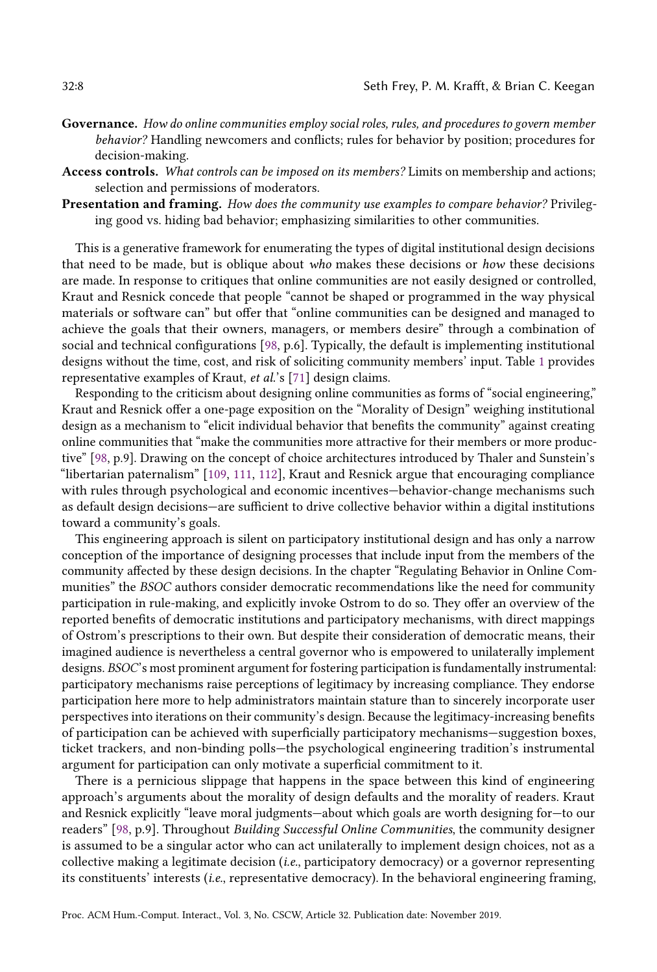- Governance. How do online communities employ social roles, rules, and procedures to govern member behavior? Handling newcomers and conflicts; rules for behavior by position; procedures for decision-making.
- Access controls. What controls can be imposed on its members? Limits on membership and actions; selection and permissions of moderators.
- Presentation and framing. How does the community use examples to compare behavior? Privileging good vs. hiding bad behavior; emphasizing similarities to other communities.

This is a generative framework for enumerating the types of digital institutional design decisions that need to be made, but is oblique about who makes these decisions or how these decisions are made. In response to critiques that online communities are not easily designed or controlled, Kraut and Resnick concede that people "cannot be shaped or programmed in the way physical materials or software can" but offer that "online communities can be designed and managed to achieve the goals that their owners, managers, or members desire" through a combination of social and technical configurations [\[98,](#page-29-3) p.6]. Typically, the default is implementing institutional designs without the time, cost, and risk of soliciting community members' input. Table [1](#page-6-0) provides representative examples of Kraut, et al.'s [\[71\]](#page-28-0) design claims.

Responding to the criticism about designing online communities as forms of "social engineering," Kraut and Resnick offer a one-page exposition on the "Morality of Design" weighing institutional design as a mechanism to "elicit individual behavior that benefits the community" against creating online communities that "make the communities more attractive for their members or more productive" [\[98,](#page-29-3) p.9]. Drawing on the concept of choice architectures introduced by Thaler and Sunstein's "libertarian paternalism" [\[109,](#page-30-8) [111,](#page-30-9) [112\]](#page-30-3), Kraut and Resnick argue that encouraging compliance with rules through psychological and economic incentives—behavior-change mechanisms such as default design decisions—are sufficient to drive collective behavior within a digital institutions toward a community's goals.

This engineering approach is silent on participatory institutional design and has only a narrow conception of the importance of designing processes that include input from the members of the community affected by these design decisions. In the chapter "Regulating Behavior in Online Communities" the BSOC authors consider democratic recommendations like the need for community participation in rule-making, and explicitly invoke Ostrom to do so. They offer an overview of the reported benefits of democratic institutions and participatory mechanisms, with direct mappings of Ostrom's prescriptions to their own. But despite their consideration of democratic means, their imagined audience is nevertheless a central governor who is empowered to unilaterally implement designs. BSOC's most prominent argument for fostering participation is fundamentally instrumental: participatory mechanisms raise perceptions of legitimacy by increasing compliance. They endorse participation here more to help administrators maintain stature than to sincerely incorporate user perspectives into iterations on their community's design. Because the legitimacy-increasing benefits of participation can be achieved with superficially participatory mechanisms—suggestion boxes, ticket trackers, and non-binding polls—the psychological engineering tradition's instrumental argument for participation can only motivate a superficial commitment to it.

There is a pernicious slippage that happens in the space between this kind of engineering approach's arguments about the morality of design defaults and the morality of readers. Kraut and Resnick explicitly "leave moral judgments—about which goals are worth designing for—to our readers" [\[98,](#page-29-3) p.9]. Throughout Building Successful Online Communities, the community designer is assumed to be a singular actor who can act unilaterally to implement design choices, not as a collective making a legitimate decision (i.e., participatory democracy) or a governor representing its constituents' interests (*i.e.*, representative democracy). In the behavioral engineering framing,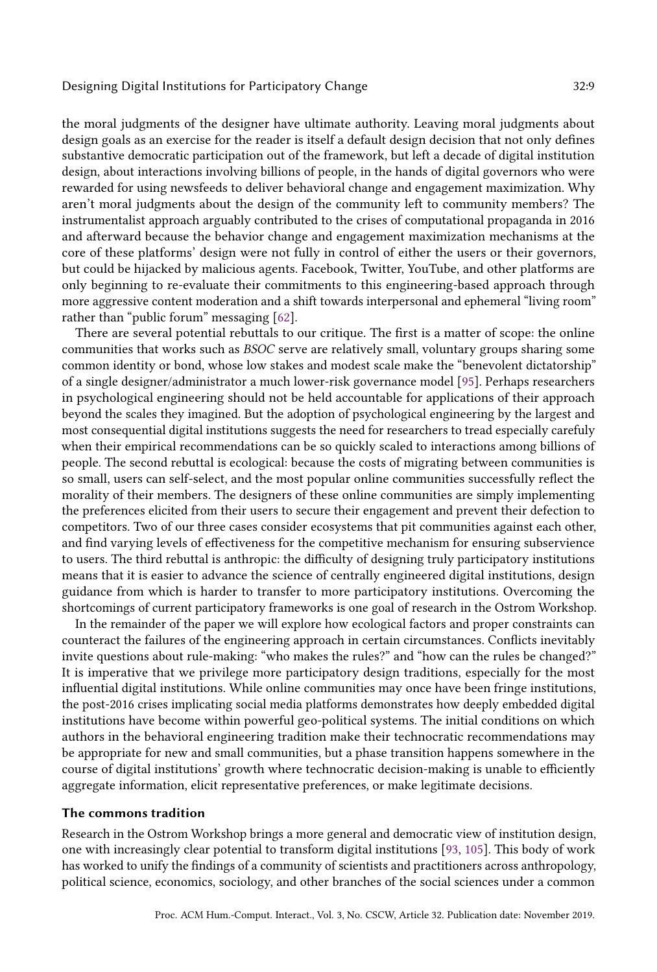the moral judgments of the designer have ultimate authority. Leaving moral judgments about design goals as an exercise for the reader is itself a default design decision that not only defines substantive democratic participation out of the framework, but left a decade of digital institution design, about interactions involving billions of people, in the hands of digital governors who were rewarded for using newsfeeds to deliver behavioral change and engagement maximization. Why aren't moral judgments about the design of the community left to community members? The instrumentalist approach arguably contributed to the crises of computational propaganda in 2016 and afterward because the behavior change and engagement maximization mechanisms at the core of these platforms' design were not fully in control of either the users or their governors, but could be hijacked by malicious agents. Facebook, Twitter, YouTube, and other platforms are only beginning to re-evaluate their commitments to this engineering-based approach through more aggressive content moderation and a shift towards interpersonal and ephemeral "living room" rather than "public forum" messaging [\[62\]](#page-28-12).

There are several potential rebuttals to our critique. The first is a matter of scope: the online communities that works such as BSOC serve are relatively small, voluntary groups sharing some common identity or bond, whose low stakes and modest scale make the "benevolent dictatorship" of a single designer/administrator a much lower-risk governance model [\[95\]](#page-29-12). Perhaps researchers in psychological engineering should not be held accountable for applications of their approach beyond the scales they imagined. But the adoption of psychological engineering by the largest and most consequential digital institutions suggests the need for researchers to tread especially carefuly when their empirical recommendations can be so quickly scaled to interactions among billions of people. The second rebuttal is ecological: because the costs of migrating between communities is so small, users can self-select, and the most popular online communities successfully reflect the morality of their members. The designers of these online communities are simply implementing the preferences elicited from their users to secure their engagement and prevent their defection to competitors. Two of our three cases consider ecosystems that pit communities against each other, and find varying levels of effectiveness for the competitive mechanism for ensuring subservience to users. The third rebuttal is anthropic: the difficulty of designing truly participatory institutions means that it is easier to advance the science of centrally engineered digital institutions, design guidance from which is harder to transfer to more participatory institutions. Overcoming the shortcomings of current participatory frameworks is one goal of research in the Ostrom Workshop.

In the remainder of the paper we will explore how ecological factors and proper constraints can counteract the failures of the engineering approach in certain circumstances. Conflicts inevitably invite questions about rule-making: "who makes the rules?" and "how can the rules be changed?" It is imperative that we privilege more participatory design traditions, especially for the most influential digital institutions. While online communities may once have been fringe institutions, the post-2016 crises implicating social media platforms demonstrates how deeply embedded digital institutions have become within powerful geo-political systems. The initial conditions on which authors in the behavioral engineering tradition make their technocratic recommendations may be appropriate for new and small communities, but a phase transition happens somewhere in the course of digital institutions' growth where technocratic decision-making is unable to efficiently aggregate information, elicit representative preferences, or make legitimate decisions.

#### The commons tradition

Research in the Ostrom Workshop brings a more general and democratic view of institution design, one with increasingly clear potential to transform digital institutions [\[93,](#page-29-13) [105\]](#page-30-10). This body of work has worked to unify the findings of a community of scientists and practitioners across anthropology, political science, economics, sociology, and other branches of the social sciences under a common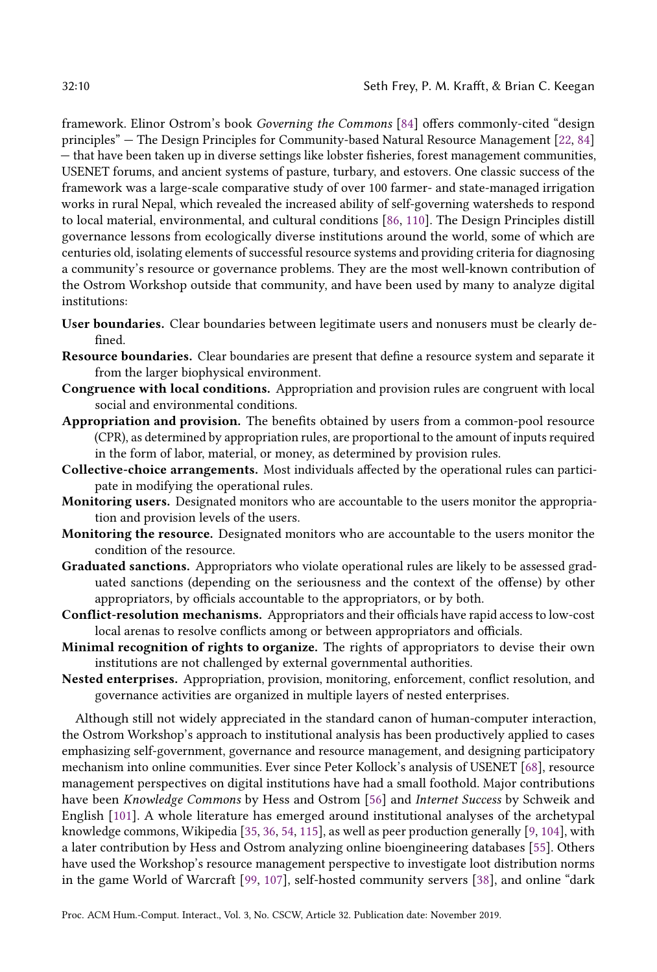framework. Elinor Ostrom's book Governing the Commons [\[84\]](#page-29-8) offers commonly-cited "design principles" — The Design Principles for Community-based Natural Resource Management [\[22,](#page-27-12) [84\]](#page-29-8) — that have been taken up in diverse settings like lobster fisheries, forest management communities, USENET forums, and ancient systems of pasture, turbary, and estovers. One classic success of the framework was a large-scale comparative study of over 100 farmer- and state-managed irrigation works in rural Nepal, which revealed the increased ability of self-governing watersheds to respond to local material, environmental, and cultural conditions [\[86,](#page-29-14) [110\]](#page-30-11). The Design Principles distill governance lessons from ecologically diverse institutions around the world, some of which are centuries old, isolating elements of successful resource systems and providing criteria for diagnosing a community's resource or governance problems. They are the most well-known contribution of the Ostrom Workshop outside that community, and have been used by many to analyze digital institutions:

- User boundaries. Clear boundaries between legitimate users and nonusers must be clearly defined.
- Resource boundaries. Clear boundaries are present that define a resource system and separate it from the larger biophysical environment.
- Congruence with local conditions. Appropriation and provision rules are congruent with local social and environmental conditions.
- Appropriation and provision. The benefits obtained by users from a common-pool resource (CPR), as determined by appropriation rules, are proportional to the amount of inputs required in the form of labor, material, or money, as determined by provision rules.
- Collective-choice arrangements. Most individuals affected by the operational rules can participate in modifying the operational rules.
- Monitoring users. Designated monitors who are accountable to the users monitor the appropriation and provision levels of the users.
- Monitoring the resource. Designated monitors who are accountable to the users monitor the condition of the resource.
- Graduated sanctions. Appropriators who violate operational rules are likely to be assessed graduated sanctions (depending on the seriousness and the context of the offense) by other appropriators, by officials accountable to the appropriators, or by both.
- Conflict-resolution mechanisms. Appropriators and their officials have rapid access to low-cost local arenas to resolve conflicts among or between appropriators and officials.
- Minimal recognition of rights to organize. The rights of appropriators to devise their own institutions are not challenged by external governmental authorities.
- Nested enterprises. Appropriation, provision, monitoring, enforcement, conflict resolution, and governance activities are organized in multiple layers of nested enterprises.

Although still not widely appreciated in the standard canon of human-computer interaction, the Ostrom Workshop's approach to institutional analysis has been productively applied to cases emphasizing self-government, governance and resource management, and designing participatory mechanism into online communities. Ever since Peter Kollock's analysis of USENET [\[68\]](#page-28-13), resource management perspectives on digital institutions have had a small foothold. Major contributions have been Knowledge Commons by Hess and Ostrom [\[56\]](#page-28-14) and Internet Success by Schweik and English [\[101\]](#page-29-15). A whole literature has emerged around institutional analyses of the archetypal knowledge commons, Wikipedia [\[35,](#page-27-13) [36,](#page-27-14) [54,](#page-28-8) [115\]](#page-30-12), as well as peer production generally [\[9,](#page-26-6) [104\]](#page-30-13), with a later contribution by Hess and Ostrom analyzing online bioengineering databases [\[55\]](#page-28-15). Others have used the Workshop's resource management perspective to investigate loot distribution norms in the game World of Warcraft [\[99,](#page-29-16) [107\]](#page-30-14), self-hosted community servers [\[38\]](#page-27-15), and online "dark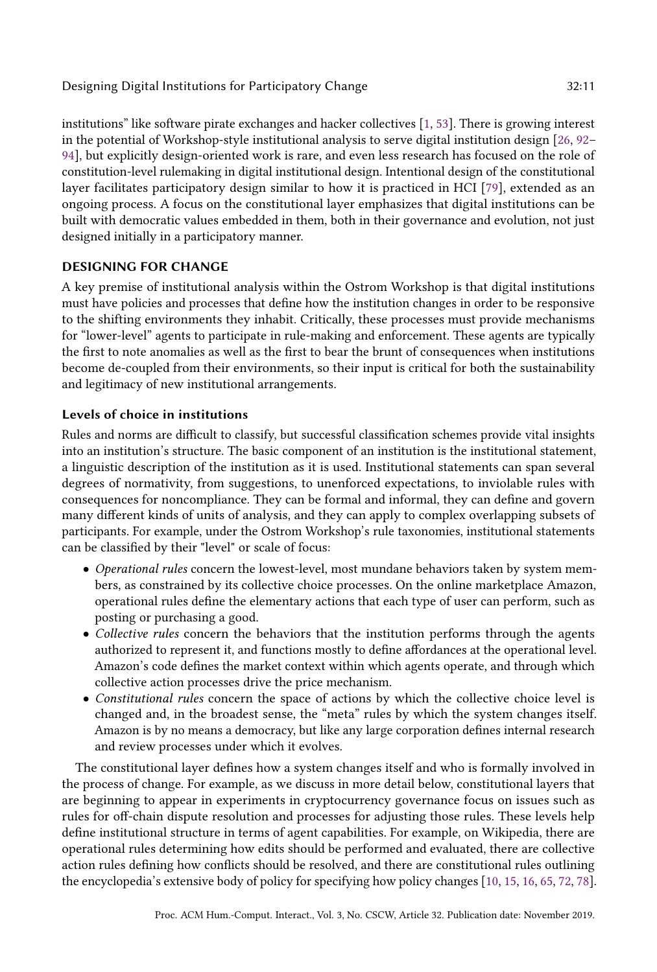institutions" like software pirate exchanges and hacker collectives [\[1,](#page-26-7) [53\]](#page-28-16). There is growing interest in the potential of Workshop-style institutional analysis to serve digital institution design [\[26,](#page-27-16) [92–](#page-29-17) [94\]](#page-29-18), but explicitly design-oriented work is rare, and even less research has focused on the role of constitution-level rulemaking in digital institutional design. Intentional design of the constitutional layer facilitates participatory design similar to how it is practiced in HCI [\[79\]](#page-29-9), extended as an ongoing process. A focus on the constitutional layer emphasizes that digital institutions can be built with democratic values embedded in them, both in their governance and evolution, not just designed initially in a participatory manner.

# DESIGNING FOR CHANGE

A key premise of institutional analysis within the Ostrom Workshop is that digital institutions must have policies and processes that define how the institution changes in order to be responsive to the shifting environments they inhabit. Critically, these processes must provide mechanisms for "lower-level" agents to participate in rule-making and enforcement. These agents are typically the first to note anomalies as well as the first to bear the brunt of consequences when institutions become de-coupled from their environments, so their input is critical for both the sustainability and legitimacy of new institutional arrangements.

# Levels of choice in institutions

Rules and norms are difficult to classify, but successful classification schemes provide vital insights into an institution's structure. The basic component of an institution is the institutional statement, a linguistic description of the institution as it is used. Institutional statements can span several degrees of normativity, from suggestions, to unenforced expectations, to inviolable rules with consequences for noncompliance. They can be formal and informal, they can define and govern many different kinds of units of analysis, and they can apply to complex overlapping subsets of participants. For example, under the Ostrom Workshop's rule taxonomies, institutional statements can be classified by their "level" or scale of focus:

- Operational rules concern the lowest-level, most mundane behaviors taken by system members, as constrained by its collective choice processes. On the online marketplace Amazon, operational rules define the elementary actions that each type of user can perform, such as posting or purchasing a good.
- Collective rules concern the behaviors that the institution performs through the agents authorized to represent it, and functions mostly to define affordances at the operational level. Amazon's code defines the market context within which agents operate, and through which collective action processes drive the price mechanism.
- Constitutional rules concern the space of actions by which the collective choice level is changed and, in the broadest sense, the "meta" rules by which the system changes itself. Amazon is by no means a democracy, but like any large corporation defines internal research and review processes under which it evolves.

The constitutional layer defines how a system changes itself and who is formally involved in the process of change. For example, as we discuss in more detail below, constitutional layers that are beginning to appear in experiments in cryptocurrency governance focus on issues such as rules for off-chain dispute resolution and processes for adjusting those rules. These levels help define institutional structure in terms of agent capabilities. For example, on Wikipedia, there are operational rules determining how edits should be performed and evaluated, there are collective action rules defining how conflicts should be resolved, and there are constitutional rules outlining the encyclopedia's extensive body of policy for specifying how policy changes [\[10,](#page-26-3) [15,](#page-27-17) [16,](#page-27-18) [65,](#page-28-9) [72,](#page-28-10) [78\]](#page-29-19).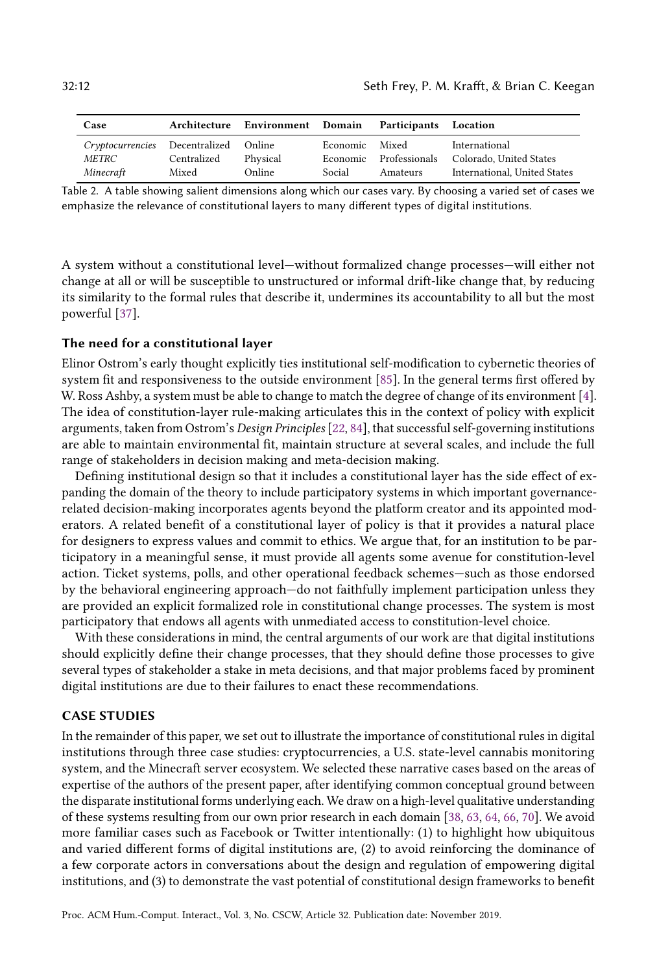<span id="page-11-0"></span>

| Case                                                        | Architecture         | <b>Environment Domain</b>    |                    | <b>Participants</b> Location                |                                                                          |
|-------------------------------------------------------------|----------------------|------------------------------|--------------------|---------------------------------------------|--------------------------------------------------------------------------|
| Cryptocurrencies Decentralized<br><i>METRC</i><br>Minecraft | Centralized<br>Mixed | Online<br>Physical<br>Online | Economic<br>Social | Mixed<br>Economic Professionals<br>Amateurs | International<br>Colorado. United States<br>International, United States |

Table 2. A table showing salient dimensions along which our cases vary. By choosing a varied set of cases we emphasize the relevance of constitutional layers to many different types of digital institutions.

A system without a constitutional level—without formalized change processes—will either not change at all or will be susceptible to unstructured or informal drift-like change that, by reducing its similarity to the formal rules that describe it, undermines its accountability to all but the most powerful [\[37\]](#page-27-19).

## The need for a constitutional layer

Elinor Ostrom's early thought explicitly ties institutional self-modification to cybernetic theories of system fit and responsiveness to the outside environment [\[85\]](#page-29-20). In the general terms first offered by W. Ross Ashby, a system must be able to change to match the degree of change of its environment [\[4\]](#page-26-8). The idea of constitution-layer rule-making articulates this in the context of policy with explicit arguments, taken from Ostrom's Design Principles [\[22,](#page-27-12) [84\]](#page-29-8), that successful self-governing institutions are able to maintain environmental fit, maintain structure at several scales, and include the full range of stakeholders in decision making and meta-decision making.

Defining institutional design so that it includes a constitutional layer has the side effect of expanding the domain of the theory to include participatory systems in which important governancerelated decision-making incorporates agents beyond the platform creator and its appointed moderators. A related benefit of a constitutional layer of policy is that it provides a natural place for designers to express values and commit to ethics. We argue that, for an institution to be participatory in a meaningful sense, it must provide all agents some avenue for constitution-level action. Ticket systems, polls, and other operational feedback schemes—such as those endorsed by the behavioral engineering approach—do not faithfully implement participation unless they are provided an explicit formalized role in constitutional change processes. The system is most participatory that endows all agents with unmediated access to constitution-level choice.

With these considerations in mind, the central arguments of our work are that digital institutions should explicitly define their change processes, that they should define those processes to give several types of stakeholder a stake in meta decisions, and that major problems faced by prominent digital institutions are due to their failures to enact these recommendations.

# CASE STUDIES

In the remainder of this paper, we set out to illustrate the importance of constitutional rules in digital institutions through three case studies: cryptocurrencies, a U.S. state-level cannabis monitoring system, and the Minecraft server ecosystem. We selected these narrative cases based on the areas of expertise of the authors of the present paper, after identifying common conceptual ground between the disparate institutional forms underlying each. We draw on a high-level qualitative understanding of these systems resulting from our own prior research in each domain [\[38,](#page-27-15) [63,](#page-28-17) [64,](#page-28-18) [66,](#page-28-19) [70\]](#page-28-20). We avoid more familiar cases such as Facebook or Twitter intentionally: (1) to highlight how ubiquitous and varied different forms of digital institutions are, (2) to avoid reinforcing the dominance of a few corporate actors in conversations about the design and regulation of empowering digital institutions, and (3) to demonstrate the vast potential of constitutional design frameworks to benefit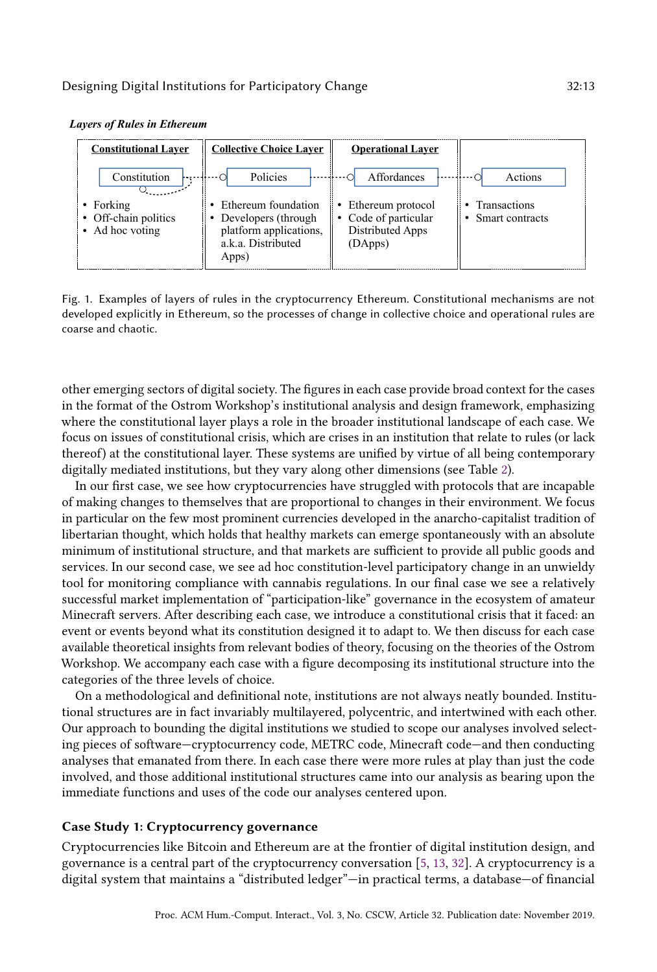| <b>Constitutional Laver</b>             | <b>Collective Choice Laver</b>                                               | <b>Operational Layer</b>                          |                                |
|-----------------------------------------|------------------------------------------------------------------------------|---------------------------------------------------|--------------------------------|
| Constitution<br>Forking                 | Policies<br>Ethereum foundation                                              | Affordances<br>$\cdots$<br>Ethereum protocol      | Actions<br><b>Transactions</b> |
| • Off-chain politics<br>• Ad hoc voting | Developers (through<br>platform applications,<br>a.k.a. Distributed<br>Apps) | Code of particular<br>Distributed Apps<br>(DApps) | Smart contracts                |

<span id="page-12-0"></span>*Layers of Rules in Ethereum*

Fig. 1. Examples of layers of rules in the cryptocurrency Ethereum. Constitutional mechanisms are not developed explicitly in Ethereum, so the processes of change in collective choice and operational rules are coarse and chaotic.

other emerging sectors of digital society. The figures in each case provide broad context for the cases in the format of the Ostrom Workshop's institutional analysis and design framework, emphasizing where the constitutional layer plays a role in the broader institutional landscape of each case. We focus on issues of constitutional crisis, which are crises in an institution that relate to rules (or lack thereof) at the constitutional layer. These systems are unified by virtue of all being contemporary digitally mediated institutions, but they vary along other dimensions (see Table [2\)](#page-11-0).

In our first case, we see how cryptocurrencies have struggled with protocols that are incapable of making changes to themselves that are proportional to changes in their environment. We focus in particular on the few most prominent currencies developed in the anarcho-capitalist tradition of libertarian thought, which holds that healthy markets can emerge spontaneously with an absolute minimum of institutional structure, and that markets are sufficient to provide all public goods and services. In our second case, we see ad hoc constitution-level participatory change in an unwieldy tool for monitoring compliance with cannabis regulations. In our final case we see a relatively successful market implementation of "participation-like" governance in the ecosystem of amateur Minecraft servers. After describing each case, we introduce a constitutional crisis that it faced: an event or events beyond what its constitution designed it to adapt to. We then discuss for each case available theoretical insights from relevant bodies of theory, focusing on the theories of the Ostrom Workshop. We accompany each case with a figure decomposing its institutional structure into the categories of the three levels of choice.

On a methodological and definitional note, institutions are not always neatly bounded. Institutional structures are in fact invariably multilayered, polycentric, and intertwined with each other. Our approach to bounding the digital institutions we studied to scope our analyses involved selecting pieces of software—cryptocurrency code, METRC code, Minecraft code—and then conducting analyses that emanated from there. In each case there were more rules at play than just the code involved, and those additional institutional structures came into our analysis as bearing upon the immediate functions and uses of the code our analyses centered upon.

# Case Study 1: Cryptocurrency governance

Cryptocurrencies like Bitcoin and Ethereum are at the frontier of digital institution design, and governance is a central part of the cryptocurrency conversation [\[5,](#page-26-9) [13,](#page-26-10) [32\]](#page-27-20). A cryptocurrency is a digital system that maintains a "distributed ledger"—in practical terms, a database—of financial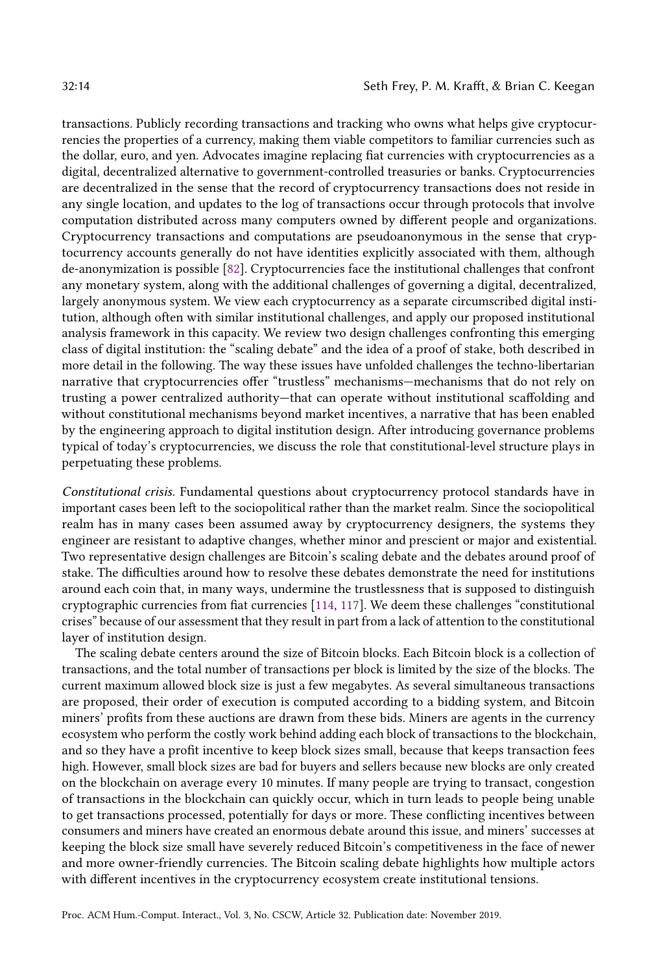transactions. Publicly recording transactions and tracking who owns what helps give cryptocurrencies the properties of a currency, making them viable competitors to familiar currencies such as the dollar, euro, and yen. Advocates imagine replacing fiat currencies with cryptocurrencies as a digital, decentralized alternative to government-controlled treasuries or banks. Cryptocurrencies are decentralized in the sense that the record of cryptocurrency transactions does not reside in any single location, and updates to the log of transactions occur through protocols that involve computation distributed across many computers owned by different people and organizations. Cryptocurrency transactions and computations are pseudoanonymous in the sense that cryptocurrency accounts generally do not have identities explicitly associated with them, although de-anonymization is possible [\[82\]](#page-29-21). Cryptocurrencies face the institutional challenges that confront any monetary system, along with the additional challenges of governing a digital, decentralized, largely anonymous system. We view each cryptocurrency as a separate circumscribed digital institution, although often with similar institutional challenges, and apply our proposed institutional analysis framework in this capacity. We review two design challenges confronting this emerging class of digital institution: the "scaling debate" and the idea of a proof of stake, both described in more detail in the following. The way these issues have unfolded challenges the techno-libertarian narrative that cryptocurrencies offer "trustless" mechanisms—mechanisms that do not rely on trusting a power centralized authority—that can operate without institutional scaffolding and without constitutional mechanisms beyond market incentives, a narrative that has been enabled by the engineering approach to digital institution design. After introducing governance problems typical of today's cryptocurrencies, we discuss the role that constitutional-level structure plays in perpetuating these problems.

Constitutional crisis. Fundamental questions about cryptocurrency protocol standards have in important cases been left to the sociopolitical rather than the market realm. Since the sociopolitical realm has in many cases been assumed away by cryptocurrency designers, the systems they engineer are resistant to adaptive changes, whether minor and prescient or major and existential. Two representative design challenges are Bitcoin's scaling debate and the debates around proof of stake. The difficulties around how to resolve these debates demonstrate the need for institutions around each coin that, in many ways, undermine the trustlessness that is supposed to distinguish cryptographic currencies from fiat currencies [\[114,](#page-30-15) [117\]](#page-30-16). We deem these challenges "constitutional crises" because of our assessment that they result in part from a lack of attention to the constitutional layer of institution design.

The scaling debate centers around the size of Bitcoin blocks. Each Bitcoin block is a collection of transactions, and the total number of transactions per block is limited by the size of the blocks. The current maximum allowed block size is just a few megabytes. As several simultaneous transactions are proposed, their order of execution is computed according to a bidding system, and Bitcoin miners' profits from these auctions are drawn from these bids. Miners are agents in the currency ecosystem who perform the costly work behind adding each block of transactions to the blockchain, and so they have a profit incentive to keep block sizes small, because that keeps transaction fees high. However, small block sizes are bad for buyers and sellers because new blocks are only created on the blockchain on average every 10 minutes. If many people are trying to transact, congestion of transactions in the blockchain can quickly occur, which in turn leads to people being unable to get transactions processed, potentially for days or more. These conflicting incentives between consumers and miners have created an enormous debate around this issue, and miners' successes at keeping the block size small have severely reduced Bitcoin's competitiveness in the face of newer and more owner-friendly currencies. The Bitcoin scaling debate highlights how multiple actors with different incentives in the cryptocurrency ecosystem create institutional tensions.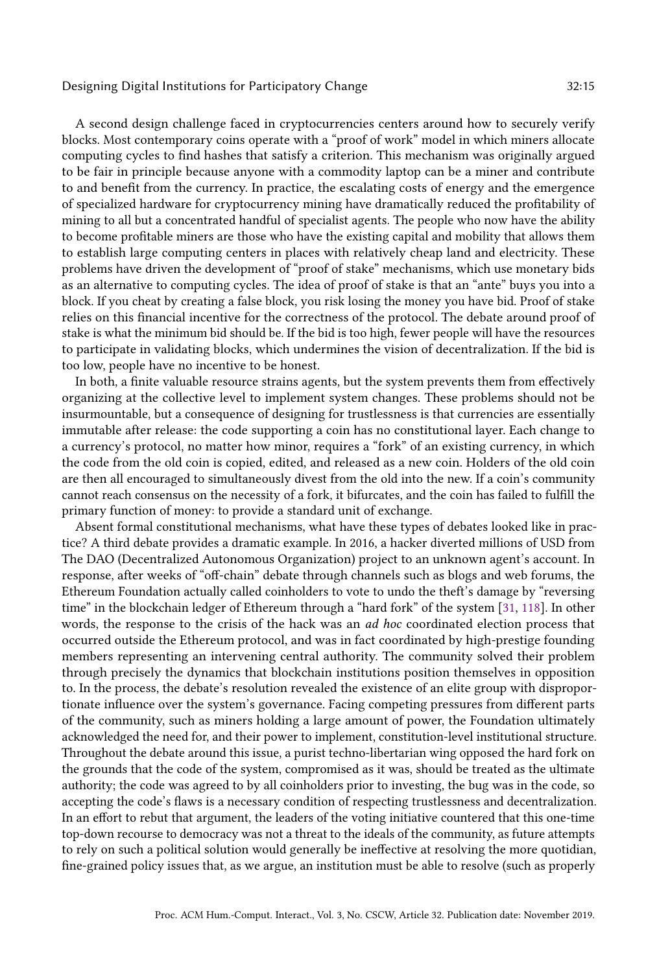A second design challenge faced in cryptocurrencies centers around how to securely verify blocks. Most contemporary coins operate with a "proof of work" model in which miners allocate computing cycles to find hashes that satisfy a criterion. This mechanism was originally argued to be fair in principle because anyone with a commodity laptop can be a miner and contribute to and benefit from the currency. In practice, the escalating costs of energy and the emergence of specialized hardware for cryptocurrency mining have dramatically reduced the profitability of mining to all but a concentrated handful of specialist agents. The people who now have the ability to become profitable miners are those who have the existing capital and mobility that allows them to establish large computing centers in places with relatively cheap land and electricity. These problems have driven the development of "proof of stake" mechanisms, which use monetary bids as an alternative to computing cycles. The idea of proof of stake is that an "ante" buys you into a block. If you cheat by creating a false block, you risk losing the money you have bid. Proof of stake relies on this financial incentive for the correctness of the protocol. The debate around proof of stake is what the minimum bid should be. If the bid is too high, fewer people will have the resources to participate in validating blocks, which undermines the vision of decentralization. If the bid is too low, people have no incentive to be honest.

In both, a finite valuable resource strains agents, but the system prevents them from effectively organizing at the collective level to implement system changes. These problems should not be insurmountable, but a consequence of designing for trustlessness is that currencies are essentially immutable after release: the code supporting a coin has no constitutional layer. Each change to a currency's protocol, no matter how minor, requires a "fork" of an existing currency, in which the code from the old coin is copied, edited, and released as a new coin. Holders of the old coin are then all encouraged to simultaneously divest from the old into the new. If a coin's community cannot reach consensus on the necessity of a fork, it bifurcates, and the coin has failed to fulfill the primary function of money: to provide a standard unit of exchange.

Absent formal constitutional mechanisms, what have these types of debates looked like in practice? A third debate provides a dramatic example. In 2016, a hacker diverted millions of USD from The DAO (Decentralized Autonomous Organization) project to an unknown agent's account. In response, after weeks of "off-chain" debate through channels such as blogs and web forums, the Ethereum Foundation actually called coinholders to vote to undo the theft's damage by "reversing time" in the blockchain ledger of Ethereum through a "hard fork" of the system [\[31,](#page-27-21) [118\]](#page-30-17). In other words, the response to the crisis of the hack was an *ad hoc* coordinated election process that occurred outside the Ethereum protocol, and was in fact coordinated by high-prestige founding members representing an intervening central authority. The community solved their problem through precisely the dynamics that blockchain institutions position themselves in opposition to. In the process, the debate's resolution revealed the existence of an elite group with disproportionate influence over the system's governance. Facing competing pressures from different parts of the community, such as miners holding a large amount of power, the Foundation ultimately acknowledged the need for, and their power to implement, constitution-level institutional structure. Throughout the debate around this issue, a purist techno-libertarian wing opposed the hard fork on the grounds that the code of the system, compromised as it was, should be treated as the ultimate authority; the code was agreed to by all coinholders prior to investing, the bug was in the code, so accepting the code's flaws is a necessary condition of respecting trustlessness and decentralization. In an effort to rebut that argument, the leaders of the voting initiative countered that this one-time top-down recourse to democracy was not a threat to the ideals of the community, as future attempts to rely on such a political solution would generally be ineffective at resolving the more quotidian, fine-grained policy issues that, as we argue, an institution must be able to resolve (such as properly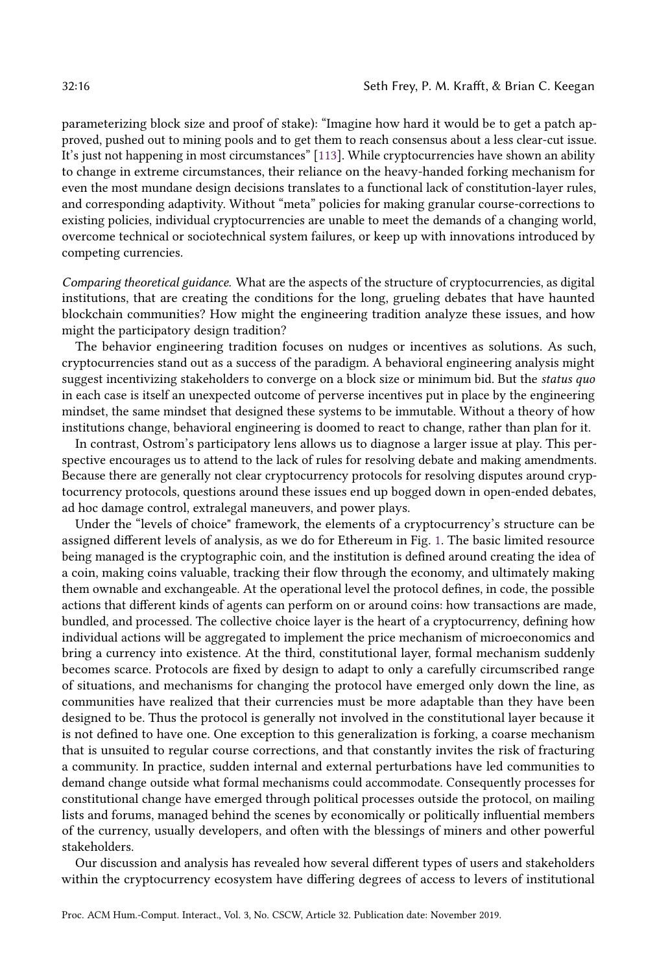parameterizing block size and proof of stake): "Imagine how hard it would be to get a patch approved, pushed out to mining pools and to get them to reach consensus about a less clear-cut issue. It's just not happening in most circumstances" [\[113\]](#page-30-18). While cryptocurrencies have shown an ability to change in extreme circumstances, their reliance on the heavy-handed forking mechanism for even the most mundane design decisions translates to a functional lack of constitution-layer rules, and corresponding adaptivity. Without "meta" policies for making granular course-corrections to existing policies, individual cryptocurrencies are unable to meet the demands of a changing world, overcome technical or sociotechnical system failures, or keep up with innovations introduced by competing currencies.

Comparing theoretical guidance. What are the aspects of the structure of cryptocurrencies, as digital institutions, that are creating the conditions for the long, grueling debates that have haunted blockchain communities? How might the engineering tradition analyze these issues, and how might the participatory design tradition?

The behavior engineering tradition focuses on nudges or incentives as solutions. As such, cryptocurrencies stand out as a success of the paradigm. A behavioral engineering analysis might suggest incentivizing stakeholders to converge on a block size or minimum bid. But the status quo in each case is itself an unexpected outcome of perverse incentives put in place by the engineering mindset, the same mindset that designed these systems to be immutable. Without a theory of how institutions change, behavioral engineering is doomed to react to change, rather than plan for it.

In contrast, Ostrom's participatory lens allows us to diagnose a larger issue at play. This perspective encourages us to attend to the lack of rules for resolving debate and making amendments. Because there are generally not clear cryptocurrency protocols for resolving disputes around cryptocurrency protocols, questions around these issues end up bogged down in open-ended debates, ad hoc damage control, extralegal maneuvers, and power plays.

Under the "levels of choice" framework, the elements of a cryptocurrency's structure can be assigned different levels of analysis, as we do for Ethereum in Fig. [1.](#page-12-0) The basic limited resource being managed is the cryptographic coin, and the institution is defined around creating the idea of a coin, making coins valuable, tracking their flow through the economy, and ultimately making them ownable and exchangeable. At the operational level the protocol defines, in code, the possible actions that different kinds of agents can perform on or around coins: how transactions are made, bundled, and processed. The collective choice layer is the heart of a cryptocurrency, defining how individual actions will be aggregated to implement the price mechanism of microeconomics and bring a currency into existence. At the third, constitutional layer, formal mechanism suddenly becomes scarce. Protocols are fixed by design to adapt to only a carefully circumscribed range of situations, and mechanisms for changing the protocol have emerged only down the line, as communities have realized that their currencies must be more adaptable than they have been designed to be. Thus the protocol is generally not involved in the constitutional layer because it is not defined to have one. One exception to this generalization is forking, a coarse mechanism that is unsuited to regular course corrections, and that constantly invites the risk of fracturing a community. In practice, sudden internal and external perturbations have led communities to demand change outside what formal mechanisms could accommodate. Consequently processes for constitutional change have emerged through political processes outside the protocol, on mailing lists and forums, managed behind the scenes by economically or politically influential members of the currency, usually developers, and often with the blessings of miners and other powerful stakeholders.

Our discussion and analysis has revealed how several different types of users and stakeholders within the cryptocurrency ecosystem have differing degrees of access to levers of institutional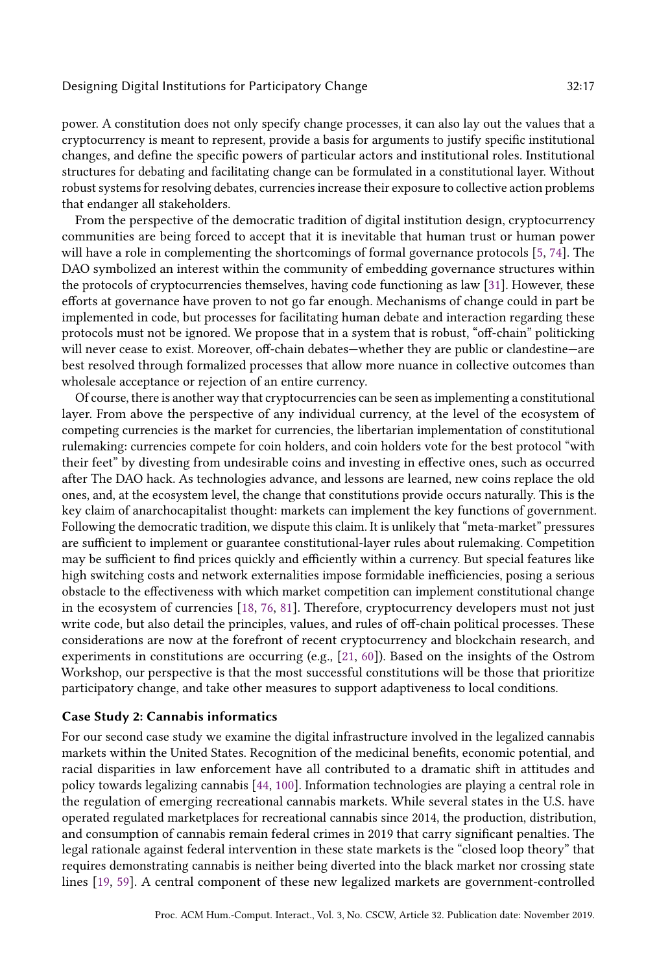power. A constitution does not only specify change processes, it can also lay out the values that a cryptocurrency is meant to represent, provide a basis for arguments to justify specific institutional changes, and define the specific powers of particular actors and institutional roles. Institutional structures for debating and facilitating change can be formulated in a constitutional layer. Without robust systems for resolving debates, currencies increase their exposure to collective action problems that endanger all stakeholders.

From the perspective of the democratic tradition of digital institution design, cryptocurrency communities are being forced to accept that it is inevitable that human trust or human power will have a role in complementing the shortcomings of formal governance protocols [\[5,](#page-26-9) [74\]](#page-29-22). The DAO symbolized an interest within the community of embedding governance structures within the protocols of cryptocurrencies themselves, having code functioning as law [\[31\]](#page-27-21). However, these efforts at governance have proven to not go far enough. Mechanisms of change could in part be implemented in code, but processes for facilitating human debate and interaction regarding these protocols must not be ignored. We propose that in a system that is robust, "off-chain" politicking will never cease to exist. Moreover, off-chain debates—whether they are public or clandestine—are best resolved through formalized processes that allow more nuance in collective outcomes than wholesale acceptance or rejection of an entire currency.

Of course, there is another way that cryptocurrencies can be seen as implementing a constitutional layer. From above the perspective of any individual currency, at the level of the ecosystem of competing currencies is the market for currencies, the libertarian implementation of constitutional rulemaking: currencies compete for coin holders, and coin holders vote for the best protocol "with their feet" by divesting from undesirable coins and investing in effective ones, such as occurred after The DAO hack. As technologies advance, and lessons are learned, new coins replace the old ones, and, at the ecosystem level, the change that constitutions provide occurs naturally. This is the key claim of anarchocapitalist thought: markets can implement the key functions of government. Following the democratic tradition, we dispute this claim. It is unlikely that "meta-market" pressures are sufficient to implement or guarantee constitutional-layer rules about rulemaking. Competition may be sufficient to find prices quickly and efficiently within a currency. But special features like high switching costs and network externalities impose formidable inefficiencies, posing a serious obstacle to the effectiveness with which market competition can implement constitutional change in the ecosystem of currencies [\[18,](#page-27-22) [76,](#page-29-23) [81\]](#page-29-24). Therefore, cryptocurrency developers must not just write code, but also detail the principles, values, and rules of off-chain political processes. These considerations are now at the forefront of recent cryptocurrency and blockchain research, and experiments in constitutions are occurring (e.g., [\[21,](#page-27-23) [60\]](#page-28-21)). Based on the insights of the Ostrom Workshop, our perspective is that the most successful constitutions will be those that prioritize participatory change, and take other measures to support adaptiveness to local conditions.

## Case Study 2: Cannabis informatics

For our second case study we examine the digital infrastructure involved in the legalized cannabis markets within the United States. Recognition of the medicinal benefits, economic potential, and racial disparities in law enforcement have all contributed to a dramatic shift in attitudes and policy towards legalizing cannabis [\[44,](#page-28-22) [100\]](#page-29-25). Information technologies are playing a central role in the regulation of emerging recreational cannabis markets. While several states in the U.S. have operated regulated marketplaces for recreational cannabis since 2014, the production, distribution, and consumption of cannabis remain federal crimes in 2019 that carry significant penalties. The legal rationale against federal intervention in these state markets is the "closed loop theory" that requires demonstrating cannabis is neither being diverted into the black market nor crossing state lines [\[19,](#page-27-24) [59\]](#page-28-23). A central component of these new legalized markets are government-controlled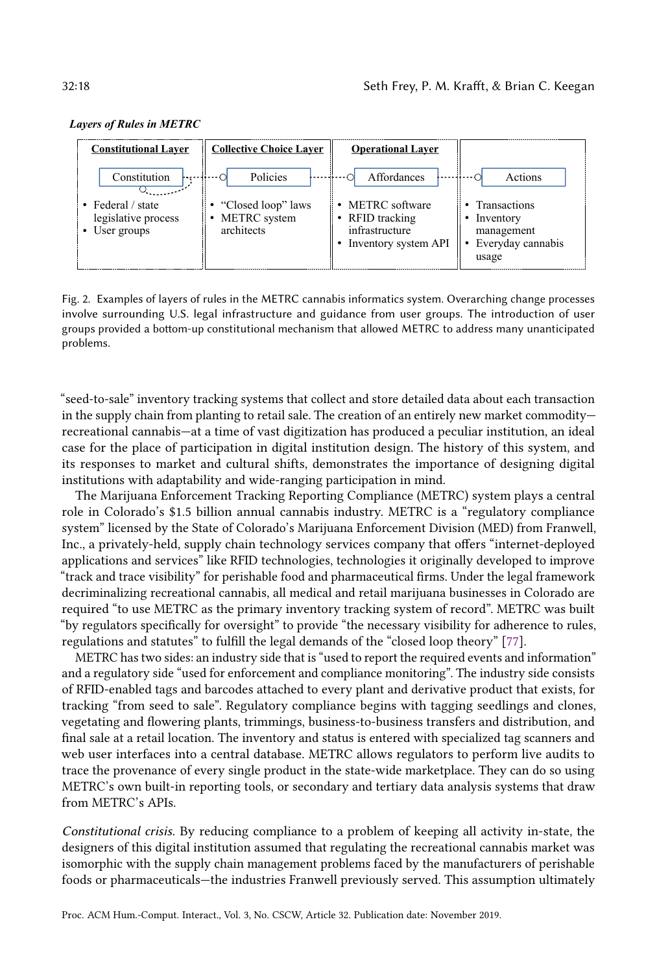| <b>Constitutional Laver</b>                                                      | <b>Collective Choice Layer</b>                                        | <b>Operational Layer</b>                                                                        |                                                                                                   |
|----------------------------------------------------------------------------------|-----------------------------------------------------------------------|-------------------------------------------------------------------------------------------------|---------------------------------------------------------------------------------------------------|
| Constitution<br>÷÷.<br>• Federal / state<br>legislative process<br>• User groups | Policies<br>• "Closed loop" laws<br><b>METRC</b> system<br>architects | Affordances<br><b>METRC</b> software<br>RFID tracking<br>infrastructure<br>Inventory system API | Actions<br>$\sim$<br><b>Transactions</b><br>Inventory<br>management<br>Everyday cannabis<br>usage |

#### <span id="page-17-0"></span>*Layers of Rules in METRC*

Fig. 2. Examples of layers of rules in the METRC cannabis informatics system. Overarching change processes involve surrounding U.S. legal infrastructure and guidance from user groups. The introduction of user groups provided a bottom-up constitutional mechanism that allowed METRC to address many unanticipated problems.

"seed-to-sale" inventory tracking systems that collect and store detailed data about each transaction in the supply chain from planting to retail sale. The creation of an entirely new market commodity recreational cannabis—at a time of vast digitization has produced a peculiar institution, an ideal case for the place of participation in digital institution design. The history of this system, and its responses to market and cultural shifts, demonstrates the importance of designing digital institutions with adaptability and wide-ranging participation in mind.

The Marijuana Enforcement Tracking Reporting Compliance (METRC) system plays a central role in Colorado's \$1.5 billion annual cannabis industry. METRC is a "regulatory compliance system" licensed by the State of Colorado's Marijuana Enforcement Division (MED) from Franwell, Inc., a privately-held, supply chain technology services company that offers "internet-deployed applications and services" like RFID technologies, technologies it originally developed to improve "track and trace visibility" for perishable food and pharmaceutical firms. Under the legal framework decriminalizing recreational cannabis, all medical and retail marijuana businesses in Colorado are required "to use METRC as the primary inventory tracking system of record". METRC was built "by regulators specifically for oversight" to provide "the necessary visibility for adherence to rules, regulations and statutes" to fulfill the legal demands of the "closed loop theory" [\[77\]](#page-29-26).

METRC has two sides: an industry side that is "used to report the required events and information" and a regulatory side "used for enforcement and compliance monitoring". The industry side consists of RFID-enabled tags and barcodes attached to every plant and derivative product that exists, for tracking "from seed to sale". Regulatory compliance begins with tagging seedlings and clones, vegetating and flowering plants, trimmings, business-to-business transfers and distribution, and final sale at a retail location. The inventory and status is entered with specialized tag scanners and web user interfaces into a central database. METRC allows regulators to perform live audits to trace the provenance of every single product in the state-wide marketplace. They can do so using METRC's own built-in reporting tools, or secondary and tertiary data analysis systems that draw from METRC's APIs.

Constitutional crisis. By reducing compliance to a problem of keeping all activity in-state, the designers of this digital institution assumed that regulating the recreational cannabis market was isomorphic with the supply chain management problems faced by the manufacturers of perishable foods or pharmaceuticals—the industries Franwell previously served. This assumption ultimately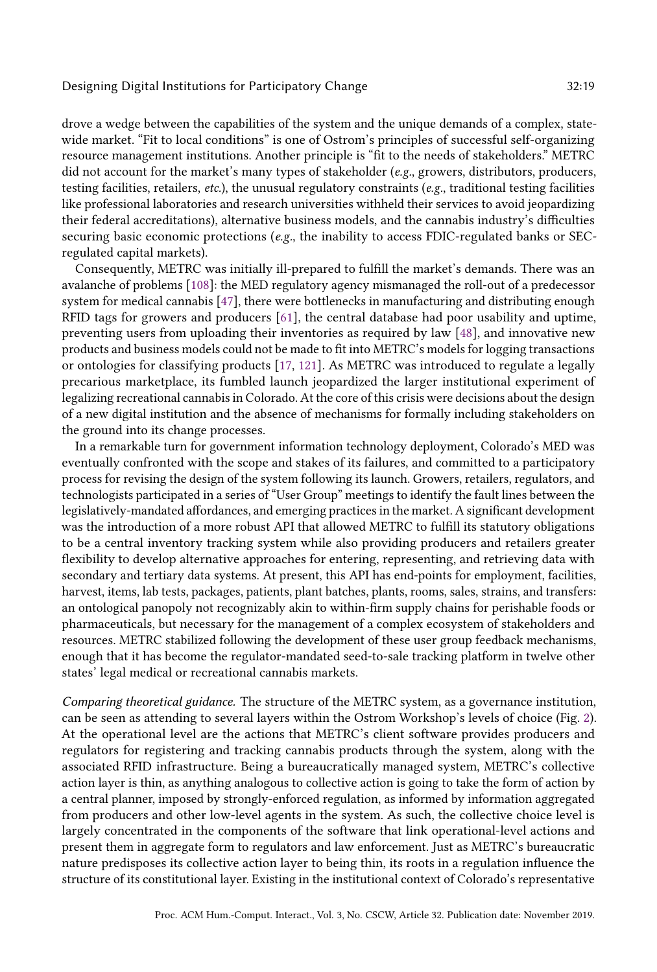drove a wedge between the capabilities of the system and the unique demands of a complex, statewide market. "Fit to local conditions" is one of Ostrom's principles of successful self-organizing resource management institutions. Another principle is "fit to the needs of stakeholders." METRC did not account for the market's many types of stakeholder ( $e.g.,$  growers, distributors, producers, testing facilities, retailers,  $etc.$ ), the unusual regulatory constraints ( $e.g.,$  traditional testing facilities like professional laboratories and research universities withheld their services to avoid jeopardizing their federal accreditations), alternative business models, and the cannabis industry's difficulties securing basic economic protections ( $e.g.,$  the inability to access FDIC-regulated banks or SECregulated capital markets).

Consequently, METRC was initially ill-prepared to fulfill the market's demands. There was an avalanche of problems [\[108\]](#page-30-19): the MED regulatory agency mismanaged the roll-out of a predecessor system for medical cannabis [\[47\]](#page-28-24), there were bottlenecks in manufacturing and distributing enough RFID tags for growers and producers [\[61\]](#page-28-25), the central database had poor usability and uptime, preventing users from uploading their inventories as required by law [\[48\]](#page-28-26), and innovative new products and business models could not be made to fit into METRC's models for logging transactions or ontologies for classifying products [\[17,](#page-27-25) [121\]](#page-30-20). As METRC was introduced to regulate a legally precarious marketplace, its fumbled launch jeopardized the larger institutional experiment of legalizing recreational cannabis in Colorado. At the core of this crisis were decisions about the design of a new digital institution and the absence of mechanisms for formally including stakeholders on the ground into its change processes.

In a remarkable turn for government information technology deployment, Colorado's MED was eventually confronted with the scope and stakes of its failures, and committed to a participatory process for revising the design of the system following its launch. Growers, retailers, regulators, and technologists participated in a series of "User Group" meetings to identify the fault lines between the legislatively-mandated affordances, and emerging practices in the market. A significant development was the introduction of a more robust API that allowed METRC to fulfill its statutory obligations to be a central inventory tracking system while also providing producers and retailers greater flexibility to develop alternative approaches for entering, representing, and retrieving data with secondary and tertiary data systems. At present, this API has end-points for employment, facilities, harvest, items, lab tests, packages, patients, plant batches, plants, rooms, sales, strains, and transfers: an ontological panopoly not recognizably akin to within-firm supply chains for perishable foods or pharmaceuticals, but necessary for the management of a complex ecosystem of stakeholders and resources. METRC stabilized following the development of these user group feedback mechanisms, enough that it has become the regulator-mandated seed-to-sale tracking platform in twelve other states' legal medical or recreational cannabis markets.

Comparing theoretical guidance. The structure of the METRC system, as a governance institution, can be seen as attending to several layers within the Ostrom Workshop's levels of choice (Fig. [2\)](#page-17-0). At the operational level are the actions that METRC's client software provides producers and regulators for registering and tracking cannabis products through the system, along with the associated RFID infrastructure. Being a bureaucratically managed system, METRC's collective action layer is thin, as anything analogous to collective action is going to take the form of action by a central planner, imposed by strongly-enforced regulation, as informed by information aggregated from producers and other low-level agents in the system. As such, the collective choice level is largely concentrated in the components of the software that link operational-level actions and present them in aggregate form to regulators and law enforcement. Just as METRC's bureaucratic nature predisposes its collective action layer to being thin, its roots in a regulation influence the structure of its constitutional layer. Existing in the institutional context of Colorado's representative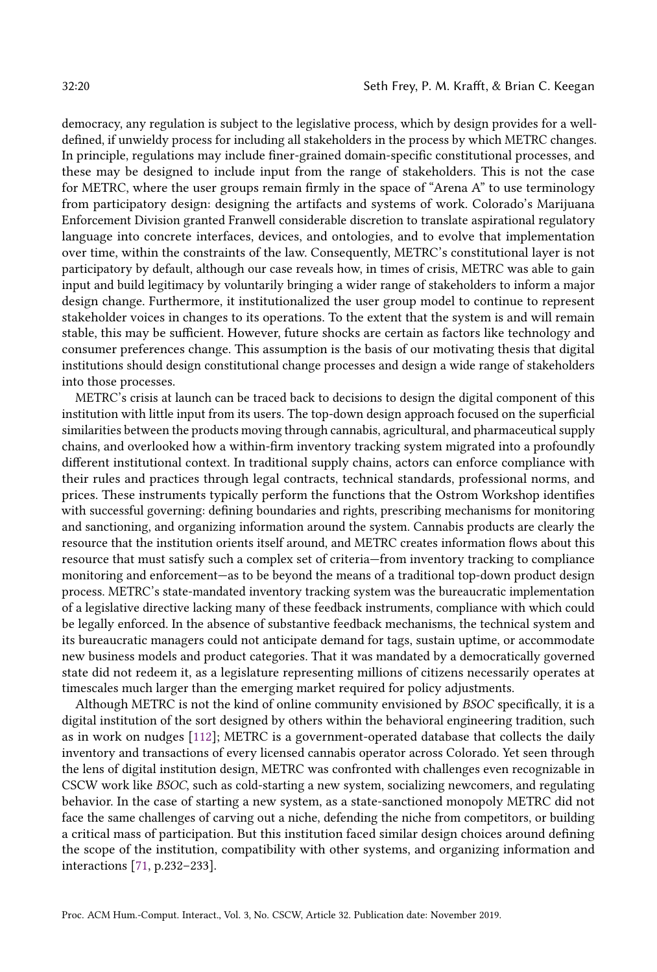democracy, any regulation is subject to the legislative process, which by design provides for a welldefined, if unwieldy process for including all stakeholders in the process by which METRC changes. In principle, regulations may include finer-grained domain-specific constitutional processes, and these may be designed to include input from the range of stakeholders. This is not the case for METRC, where the user groups remain firmly in the space of "Arena A" to use terminology from participatory design: designing the artifacts and systems of work. Colorado's Marijuana Enforcement Division granted Franwell considerable discretion to translate aspirational regulatory language into concrete interfaces, devices, and ontologies, and to evolve that implementation over time, within the constraints of the law. Consequently, METRC's constitutional layer is not participatory by default, although our case reveals how, in times of crisis, METRC was able to gain input and build legitimacy by voluntarily bringing a wider range of stakeholders to inform a major design change. Furthermore, it institutionalized the user group model to continue to represent stakeholder voices in changes to its operations. To the extent that the system is and will remain stable, this may be sufficient. However, future shocks are certain as factors like technology and consumer preferences change. This assumption is the basis of our motivating thesis that digital institutions should design constitutional change processes and design a wide range of stakeholders into those processes.

METRC's crisis at launch can be traced back to decisions to design the digital component of this institution with little input from its users. The top-down design approach focused on the superficial similarities between the products moving through cannabis, agricultural, and pharmaceutical supply chains, and overlooked how a within-firm inventory tracking system migrated into a profoundly different institutional context. In traditional supply chains, actors can enforce compliance with their rules and practices through legal contracts, technical standards, professional norms, and prices. These instruments typically perform the functions that the Ostrom Workshop identifies with successful governing: defining boundaries and rights, prescribing mechanisms for monitoring and sanctioning, and organizing information around the system. Cannabis products are clearly the resource that the institution orients itself around, and METRC creates information flows about this resource that must satisfy such a complex set of criteria—from inventory tracking to compliance monitoring and enforcement—as to be beyond the means of a traditional top-down product design process. METRC's state-mandated inventory tracking system was the bureaucratic implementation of a legislative directive lacking many of these feedback instruments, compliance with which could be legally enforced. In the absence of substantive feedback mechanisms, the technical system and its bureaucratic managers could not anticipate demand for tags, sustain uptime, or accommodate new business models and product categories. That it was mandated by a democratically governed state did not redeem it, as a legislature representing millions of citizens necessarily operates at timescales much larger than the emerging market required for policy adjustments.

Although METRC is not the kind of online community envisioned by BSOC specifically, it is a digital institution of the sort designed by others within the behavioral engineering tradition, such as in work on nudges [\[112\]](#page-30-3); METRC is a government-operated database that collects the daily inventory and transactions of every licensed cannabis operator across Colorado. Yet seen through the lens of digital institution design, METRC was confronted with challenges even recognizable in CSCW work like BSOC, such as cold-starting a new system, socializing newcomers, and regulating behavior. In the case of starting a new system, as a state-sanctioned monopoly METRC did not face the same challenges of carving out a niche, defending the niche from competitors, or building a critical mass of participation. But this institution faced similar design choices around defining the scope of the institution, compatibility with other systems, and organizing information and interactions [\[71,](#page-28-0) p.232–233].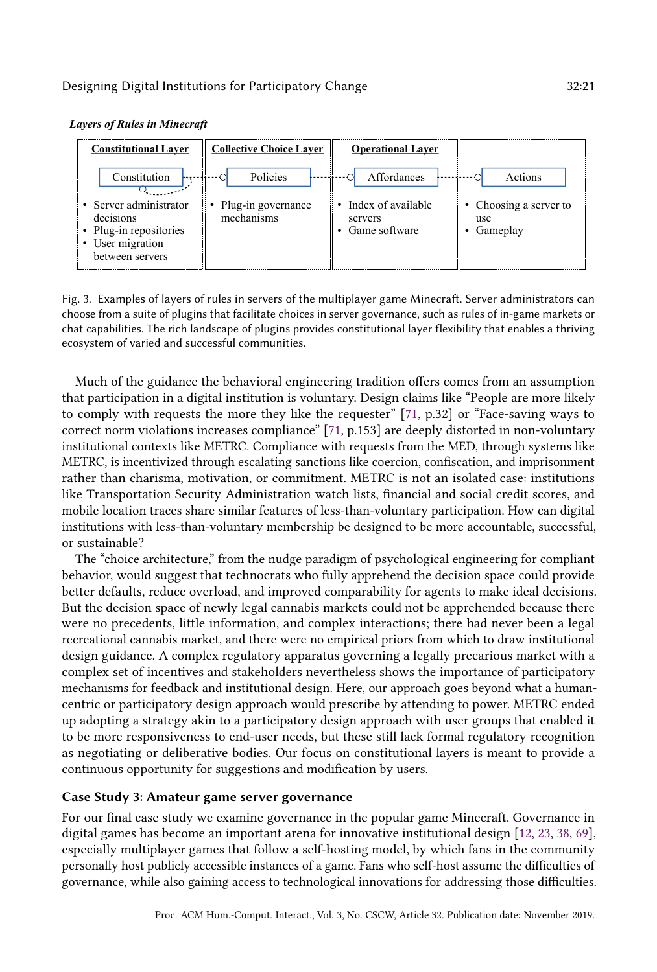| <b>Constitutional Laver</b>                                                                                          | <b>Collective Choice Laver</b>               | <b>Operational Laver</b>                                      |                                                          |
|----------------------------------------------------------------------------------------------------------------------|----------------------------------------------|---------------------------------------------------------------|----------------------------------------------------------|
| Constitution<br>• Server administrator<br>decisions<br>• Plug-in repositories<br>• User migration<br>between servers | Policies<br>Plug-in governance<br>mechanisms | Affordances<br>Index of available<br>servers<br>Game software | Actions<br><br>• Choosing a server to<br>use<br>Gameplay |

<span id="page-20-0"></span>*Layers of Rules in Minecraft*

Fig. 3. Examples of layers of rules in servers of the multiplayer game Minecraft. Server administrators can choose from a suite of plugins that facilitate choices in server governance, such as rules of in-game markets or chat capabilities. The rich landscape of plugins provides constitutional layer flexibility that enables a thriving ecosystem of varied and successful communities.

Much of the guidance the behavioral engineering tradition offers comes from an assumption that participation in a digital institution is voluntary. Design claims like "People are more likely to comply with requests the more they like the requester" [\[71,](#page-28-0) p.32] or "Face-saving ways to correct norm violations increases compliance" [\[71,](#page-28-0) p.153] are deeply distorted in non-voluntary institutional contexts like METRC. Compliance with requests from the MED, through systems like METRC, is incentivized through escalating sanctions like coercion, confiscation, and imprisonment rather than charisma, motivation, or commitment. METRC is not an isolated case: institutions like Transportation Security Administration watch lists, financial and social credit scores, and mobile location traces share similar features of less-than-voluntary participation. How can digital institutions with less-than-voluntary membership be designed to be more accountable, successful, or sustainable?

The "choice architecture," from the nudge paradigm of psychological engineering for compliant behavior, would suggest that technocrats who fully apprehend the decision space could provide better defaults, reduce overload, and improved comparability for agents to make ideal decisions. But the decision space of newly legal cannabis markets could not be apprehended because there were no precedents, little information, and complex interactions; there had never been a legal recreational cannabis market, and there were no empirical priors from which to draw institutional design guidance. A complex regulatory apparatus governing a legally precarious market with a complex set of incentives and stakeholders nevertheless shows the importance of participatory mechanisms for feedback and institutional design. Here, our approach goes beyond what a humancentric or participatory design approach would prescribe by attending to power. METRC ended up adopting a strategy akin to a participatory design approach with user groups that enabled it to be more responsiveness to end-user needs, but these still lack formal regulatory recognition as negotiating or deliberative bodies. Our focus on constitutional layers is meant to provide a continuous opportunity for suggestions and modification by users.

# Case Study 3: Amateur game server governance

For our final case study we examine governance in the popular game Minecraft. Governance in digital games has become an important arena for innovative institutional design [\[12,](#page-26-11) [23,](#page-27-26) [38,](#page-27-15) [69\]](#page-28-27), especially multiplayer games that follow a self-hosting model, by which fans in the community personally host publicly accessible instances of a game. Fans who self-host assume the difficulties of governance, while also gaining access to technological innovations for addressing those difficulties.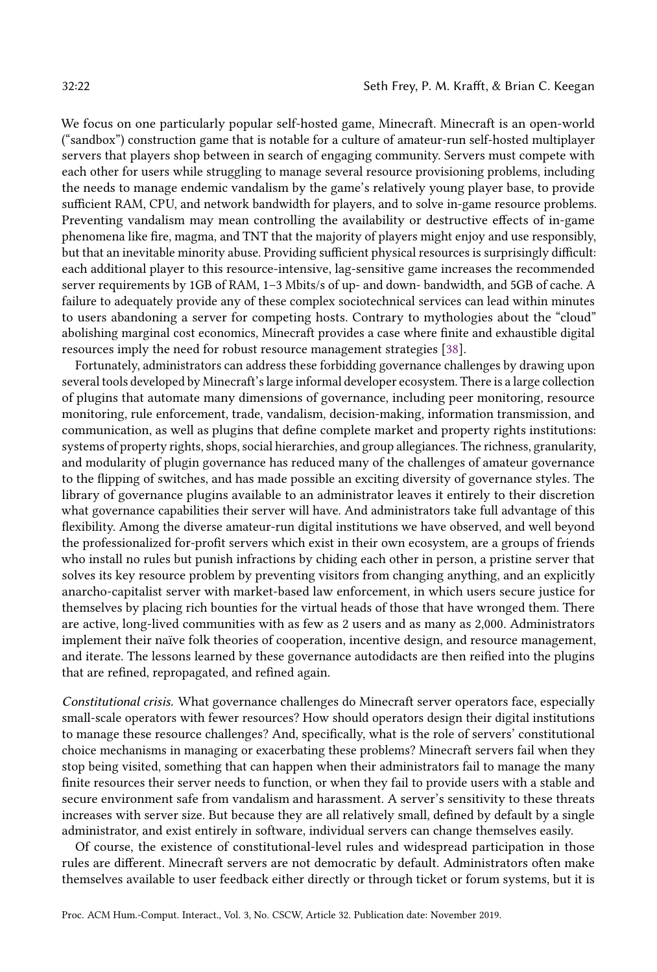We focus on one particularly popular self-hosted game, Minecraft. Minecraft is an open-world ("sandbox") construction game that is notable for a culture of amateur-run self-hosted multiplayer servers that players shop between in search of engaging community. Servers must compete with each other for users while struggling to manage several resource provisioning problems, including the needs to manage endemic vandalism by the game's relatively young player base, to provide sufficient RAM, CPU, and network bandwidth for players, and to solve in-game resource problems. Preventing vandalism may mean controlling the availability or destructive effects of in-game phenomena like fire, magma, and TNT that the majority of players might enjoy and use responsibly, but that an inevitable minority abuse. Providing sufficient physical resources is surprisingly difficult: each additional player to this resource-intensive, lag-sensitive game increases the recommended server requirements by 1GB of RAM, 1–3 Mbits/s of up- and down- bandwidth, and 5GB of cache. A failure to adequately provide any of these complex sociotechnical services can lead within minutes to users abandoning a server for competing hosts. Contrary to mythologies about the "cloud" abolishing marginal cost economics, Minecraft provides a case where finite and exhaustible digital resources imply the need for robust resource management strategies [\[38\]](#page-27-15).

Fortunately, administrators can address these forbidding governance challenges by drawing upon several tools developed by Minecraft's large informal developer ecosystem. There is a large collection of plugins that automate many dimensions of governance, including peer monitoring, resource monitoring, rule enforcement, trade, vandalism, decision-making, information transmission, and communication, as well as plugins that define complete market and property rights institutions: systems of property rights, shops, social hierarchies, and group allegiances. The richness, granularity, and modularity of plugin governance has reduced many of the challenges of amateur governance to the flipping of switches, and has made possible an exciting diversity of governance styles. The library of governance plugins available to an administrator leaves it entirely to their discretion what governance capabilities their server will have. And administrators take full advantage of this flexibility. Among the diverse amateur-run digital institutions we have observed, and well beyond the professionalized for-profit servers which exist in their own ecosystem, are a groups of friends who install no rules but punish infractions by chiding each other in person, a pristine server that solves its key resource problem by preventing visitors from changing anything, and an explicitly anarcho-capitalist server with market-based law enforcement, in which users secure justice for themselves by placing rich bounties for the virtual heads of those that have wronged them. There are active, long-lived communities with as few as 2 users and as many as 2,000. Administrators implement their naïve folk theories of cooperation, incentive design, and resource management, and iterate. The lessons learned by these governance autodidacts are then reified into the plugins that are refined, repropagated, and refined again.

Constitutional crisis. What governance challenges do Minecraft server operators face, especially small-scale operators with fewer resources? How should operators design their digital institutions to manage these resource challenges? And, specifically, what is the role of servers' constitutional choice mechanisms in managing or exacerbating these problems? Minecraft servers fail when they stop being visited, something that can happen when their administrators fail to manage the many finite resources their server needs to function, or when they fail to provide users with a stable and secure environment safe from vandalism and harassment. A server's sensitivity to these threats increases with server size. But because they are all relatively small, defined by default by a single administrator, and exist entirely in software, individual servers can change themselves easily.

Of course, the existence of constitutional-level rules and widespread participation in those rules are different. Minecraft servers are not democratic by default. Administrators often make themselves available to user feedback either directly or through ticket or forum systems, but it is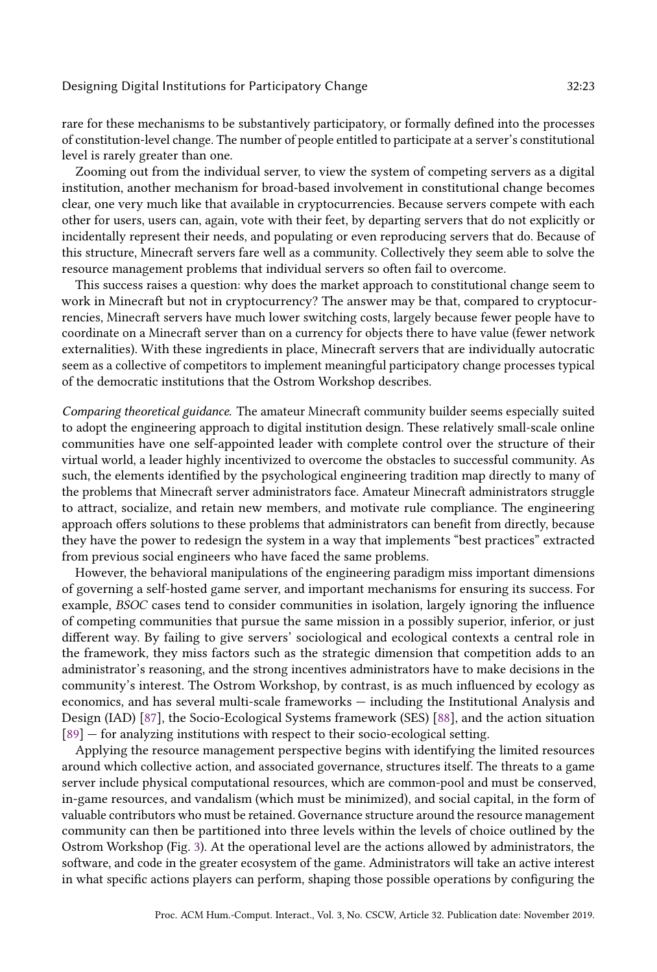rare for these mechanisms to be substantively participatory, or formally defined into the processes of constitution-level change. The number of people entitled to participate at a server's constitutional level is rarely greater than one.

Zooming out from the individual server, to view the system of competing servers as a digital institution, another mechanism for broad-based involvement in constitutional change becomes clear, one very much like that available in cryptocurrencies. Because servers compete with each other for users, users can, again, vote with their feet, by departing servers that do not explicitly or incidentally represent their needs, and populating or even reproducing servers that do. Because of this structure, Minecraft servers fare well as a community. Collectively they seem able to solve the resource management problems that individual servers so often fail to overcome.

This success raises a question: why does the market approach to constitutional change seem to work in Minecraft but not in cryptocurrency? The answer may be that, compared to cryptocurrencies, Minecraft servers have much lower switching costs, largely because fewer people have to coordinate on a Minecraft server than on a currency for objects there to have value (fewer network externalities). With these ingredients in place, Minecraft servers that are individually autocratic seem as a collective of competitors to implement meaningful participatory change processes typical of the democratic institutions that the Ostrom Workshop describes.

Comparing theoretical guidance. The amateur Minecraft community builder seems especially suited to adopt the engineering approach to digital institution design. These relatively small-scale online communities have one self-appointed leader with complete control over the structure of their virtual world, a leader highly incentivized to overcome the obstacles to successful community. As such, the elements identified by the psychological engineering tradition map directly to many of the problems that Minecraft server administrators face. Amateur Minecraft administrators struggle to attract, socialize, and retain new members, and motivate rule compliance. The engineering approach offers solutions to these problems that administrators can benefit from directly, because they have the power to redesign the system in a way that implements "best practices" extracted from previous social engineers who have faced the same problems.

However, the behavioral manipulations of the engineering paradigm miss important dimensions of governing a self-hosted game server, and important mechanisms for ensuring its success. For example, BSOC cases tend to consider communities in isolation, largely ignoring the influence of competing communities that pursue the same mission in a possibly superior, inferior, or just different way. By failing to give servers' sociological and ecological contexts a central role in the framework, they miss factors such as the strategic dimension that competition adds to an administrator's reasoning, and the strong incentives administrators have to make decisions in the community's interest. The Ostrom Workshop, by contrast, is as much influenced by ecology as economics, and has several multi-scale frameworks — including the Institutional Analysis and Design (IAD) [\[87\]](#page-29-1), the Socio-Ecological Systems framework (SES) [\[88\]](#page-29-27), and the action situation [\[89\]](#page-29-28) — for analyzing institutions with respect to their socio-ecological setting.

Applying the resource management perspective begins with identifying the limited resources around which collective action, and associated governance, structures itself. The threats to a game server include physical computational resources, which are common-pool and must be conserved, in-game resources, and vandalism (which must be minimized), and social capital, in the form of valuable contributors who must be retained. Governance structure around the resource management community can then be partitioned into three levels within the levels of choice outlined by the Ostrom Workshop (Fig. [3\)](#page-20-0). At the operational level are the actions allowed by administrators, the software, and code in the greater ecosystem of the game. Administrators will take an active interest in what specific actions players can perform, shaping those possible operations by configuring the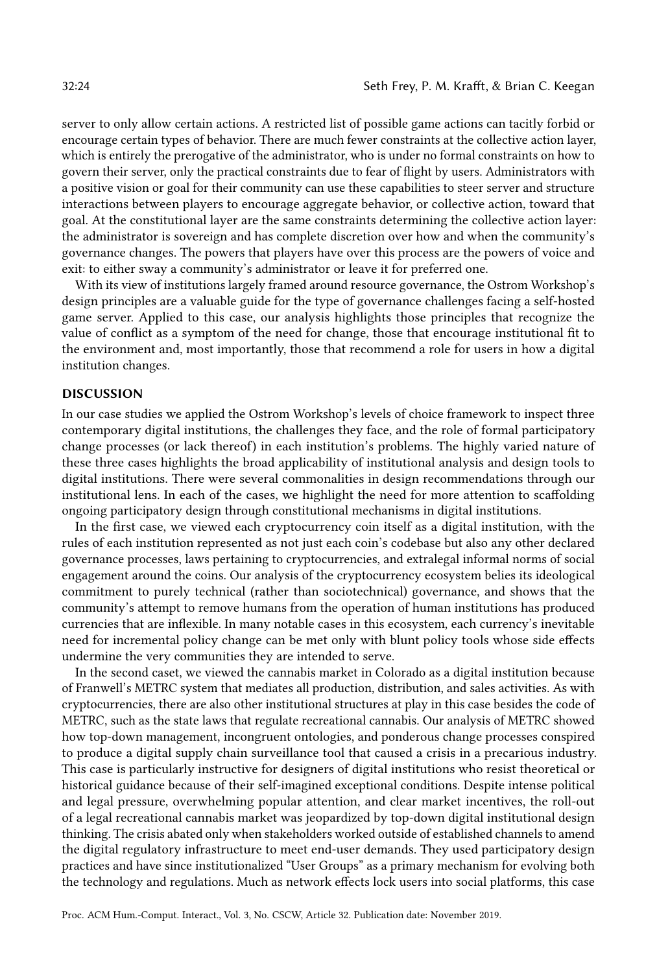server to only allow certain actions. A restricted list of possible game actions can tacitly forbid or encourage certain types of behavior. There are much fewer constraints at the collective action layer, which is entirely the prerogative of the administrator, who is under no formal constraints on how to govern their server, only the practical constraints due to fear of flight by users. Administrators with a positive vision or goal for their community can use these capabilities to steer server and structure interactions between players to encourage aggregate behavior, or collective action, toward that goal. At the constitutional layer are the same constraints determining the collective action layer: the administrator is sovereign and has complete discretion over how and when the community's governance changes. The powers that players have over this process are the powers of voice and exit: to either sway a community's administrator or leave it for preferred one.

With its view of institutions largely framed around resource governance, the Ostrom Workshop's design principles are a valuable guide for the type of governance challenges facing a self-hosted game server. Applied to this case, our analysis highlights those principles that recognize the value of conflict as a symptom of the need for change, those that encourage institutional fit to the environment and, most importantly, those that recommend a role for users in how a digital institution changes.

#### DISCUSSION

In our case studies we applied the Ostrom Workshop's levels of choice framework to inspect three contemporary digital institutions, the challenges they face, and the role of formal participatory change processes (or lack thereof) in each institution's problems. The highly varied nature of these three cases highlights the broad applicability of institutional analysis and design tools to digital institutions. There were several commonalities in design recommendations through our institutional lens. In each of the cases, we highlight the need for more attention to scaffolding ongoing participatory design through constitutional mechanisms in digital institutions.

In the first case, we viewed each cryptocurrency coin itself as a digital institution, with the rules of each institution represented as not just each coin's codebase but also any other declared governance processes, laws pertaining to cryptocurrencies, and extralegal informal norms of social engagement around the coins. Our analysis of the cryptocurrency ecosystem belies its ideological commitment to purely technical (rather than sociotechnical) governance, and shows that the community's attempt to remove humans from the operation of human institutions has produced currencies that are inflexible. In many notable cases in this ecosystem, each currency's inevitable need for incremental policy change can be met only with blunt policy tools whose side effects undermine the very communities they are intended to serve.

In the second caset, we viewed the cannabis market in Colorado as a digital institution because of Franwell's METRC system that mediates all production, distribution, and sales activities. As with cryptocurrencies, there are also other institutional structures at play in this case besides the code of METRC, such as the state laws that regulate recreational cannabis. Our analysis of METRC showed how top-down management, incongruent ontologies, and ponderous change processes conspired to produce a digital supply chain surveillance tool that caused a crisis in a precarious industry. This case is particularly instructive for designers of digital institutions who resist theoretical or historical guidance because of their self-imagined exceptional conditions. Despite intense political and legal pressure, overwhelming popular attention, and clear market incentives, the roll-out of a legal recreational cannabis market was jeopardized by top-down digital institutional design thinking. The crisis abated only when stakeholders worked outside of established channels to amend the digital regulatory infrastructure to meet end-user demands. They used participatory design practices and have since institutionalized "User Groups" as a primary mechanism for evolving both the technology and regulations. Much as network effects lock users into social platforms, this case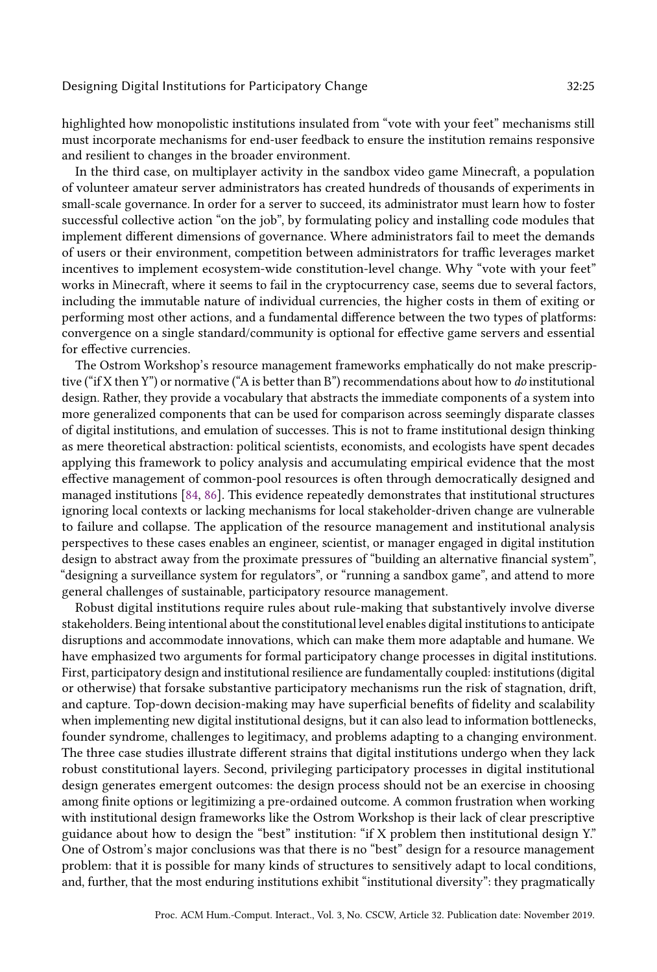highlighted how monopolistic institutions insulated from "vote with your feet" mechanisms still must incorporate mechanisms for end-user feedback to ensure the institution remains responsive and resilient to changes in the broader environment.

In the third case, on multiplayer activity in the sandbox video game Minecraft, a population of volunteer amateur server administrators has created hundreds of thousands of experiments in small-scale governance. In order for a server to succeed, its administrator must learn how to foster successful collective action "on the job", by formulating policy and installing code modules that implement different dimensions of governance. Where administrators fail to meet the demands of users or their environment, competition between administrators for traffic leverages market incentives to implement ecosystem-wide constitution-level change. Why "vote with your feet" works in Minecraft, where it seems to fail in the cryptocurrency case, seems due to several factors, including the immutable nature of individual currencies, the higher costs in them of exiting or performing most other actions, and a fundamental difference between the two types of platforms: convergence on a single standard/community is optional for effective game servers and essential for effective currencies.

The Ostrom Workshop's resource management frameworks emphatically do not make prescriptive ("if X then Y") or normative ("A is better than B") recommendations about how to do institutional design. Rather, they provide a vocabulary that abstracts the immediate components of a system into more generalized components that can be used for comparison across seemingly disparate classes of digital institutions, and emulation of successes. This is not to frame institutional design thinking as mere theoretical abstraction: political scientists, economists, and ecologists have spent decades applying this framework to policy analysis and accumulating empirical evidence that the most effective management of common-pool resources is often through democratically designed and managed institutions [\[84,](#page-29-8) [86\]](#page-29-14). This evidence repeatedly demonstrates that institutional structures ignoring local contexts or lacking mechanisms for local stakeholder-driven change are vulnerable to failure and collapse. The application of the resource management and institutional analysis perspectives to these cases enables an engineer, scientist, or manager engaged in digital institution design to abstract away from the proximate pressures of "building an alternative financial system", "designing a surveillance system for regulators", or "running a sandbox game", and attend to more general challenges of sustainable, participatory resource management.

Robust digital institutions require rules about rule-making that substantively involve diverse stakeholders. Being intentional about the constitutional level enables digital institutions to anticipate disruptions and accommodate innovations, which can make them more adaptable and humane. We have emphasized two arguments for formal participatory change processes in digital institutions. First, participatory design and institutional resilience are fundamentally coupled: institutions (digital or otherwise) that forsake substantive participatory mechanisms run the risk of stagnation, drift, and capture. Top-down decision-making may have superficial benefits of fidelity and scalability when implementing new digital institutional designs, but it can also lead to information bottlenecks, founder syndrome, challenges to legitimacy, and problems adapting to a changing environment. The three case studies illustrate different strains that digital institutions undergo when they lack robust constitutional layers. Second, privileging participatory processes in digital institutional design generates emergent outcomes: the design process should not be an exercise in choosing among finite options or legitimizing a pre-ordained outcome. A common frustration when working with institutional design frameworks like the Ostrom Workshop is their lack of clear prescriptive guidance about how to design the "best" institution: "if X problem then institutional design Y." One of Ostrom's major conclusions was that there is no "best" design for a resource management problem: that it is possible for many kinds of structures to sensitively adapt to local conditions, and, further, that the most enduring institutions exhibit "institutional diversity": they pragmatically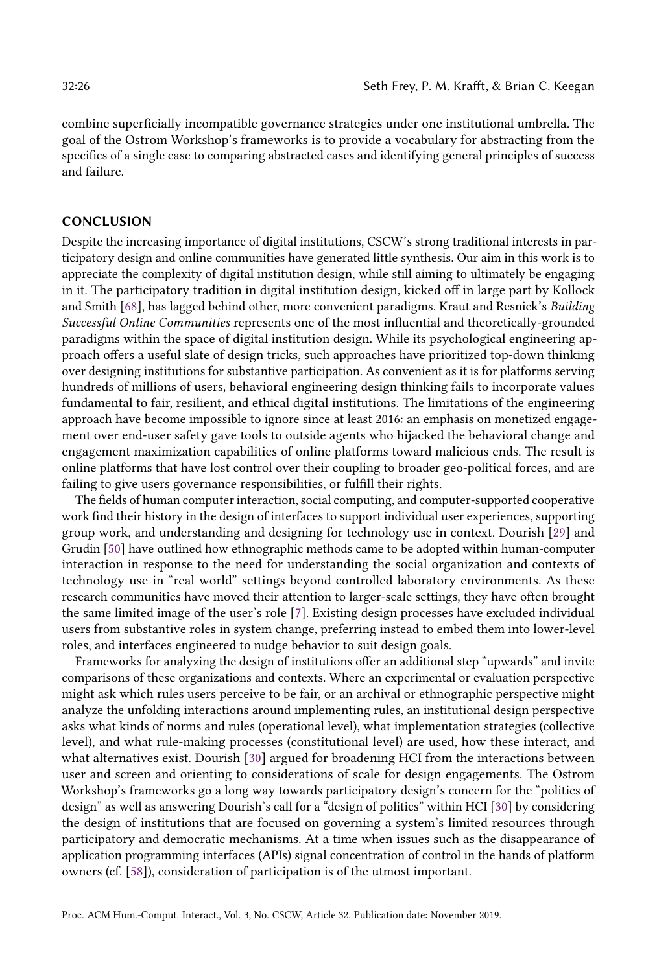combine superficially incompatible governance strategies under one institutional umbrella. The goal of the Ostrom Workshop's frameworks is to provide a vocabulary for abstracting from the specifics of a single case to comparing abstracted cases and identifying general principles of success and failure.

### **CONCLUSION**

Despite the increasing importance of digital institutions, CSCW's strong traditional interests in participatory design and online communities have generated little synthesis. Our aim in this work is to appreciate the complexity of digital institution design, while still aiming to ultimately be engaging in it. The participatory tradition in digital institution design, kicked off in large part by Kollock and Smith [\[68\]](#page-28-13), has lagged behind other, more convenient paradigms. Kraut and Resnick's Building Successful Online Communities represents one of the most influential and theoretically-grounded paradigms within the space of digital institution design. While its psychological engineering approach offers a useful slate of design tricks, such approaches have prioritized top-down thinking over designing institutions for substantive participation. As convenient as it is for platforms serving hundreds of millions of users, behavioral engineering design thinking fails to incorporate values fundamental to fair, resilient, and ethical digital institutions. The limitations of the engineering approach have become impossible to ignore since at least 2016: an emphasis on monetized engagement over end-user safety gave tools to outside agents who hijacked the behavioral change and engagement maximization capabilities of online platforms toward malicious ends. The result is online platforms that have lost control over their coupling to broader geo-political forces, and are failing to give users governance responsibilities, or fulfill their rights.

The fields of human computer interaction, social computing, and computer-supported cooperative work find their history in the design of interfaces to support individual user experiences, supporting group work, and understanding and designing for technology use in context. Dourish [\[29\]](#page-27-27) and Grudin [\[50\]](#page-28-28) have outlined how ethnographic methods came to be adopted within human-computer interaction in response to the need for understanding the social organization and contexts of technology use in "real world" settings beyond controlled laboratory environments. As these research communities have moved their attention to larger-scale settings, they have often brought the same limited image of the user's role [\[7\]](#page-26-12). Existing design processes have excluded individual users from substantive roles in system change, preferring instead to embed them into lower-level roles, and interfaces engineered to nudge behavior to suit design goals.

Frameworks for analyzing the design of institutions offer an additional step "upwards" and invite comparisons of these organizations and contexts. Where an experimental or evaluation perspective might ask which rules users perceive to be fair, or an archival or ethnographic perspective might analyze the unfolding interactions around implementing rules, an institutional design perspective asks what kinds of norms and rules (operational level), what implementation strategies (collective level), and what rule-making processes (constitutional level) are used, how these interact, and what alternatives exist. Dourish [\[30\]](#page-27-28) argued for broadening HCI from the interactions between user and screen and orienting to considerations of scale for design engagements. The Ostrom Workshop's frameworks go a long way towards participatory design's concern for the "politics of design" as well as answering Dourish's call for a "design of politics" within HCI [\[30\]](#page-27-28) by considering the design of institutions that are focused on governing a system's limited resources through participatory and democratic mechanisms. At a time when issues such as the disappearance of application programming interfaces (APIs) signal concentration of control in the hands of platform owners (cf. [\[58\]](#page-28-29)), consideration of participation is of the utmost important.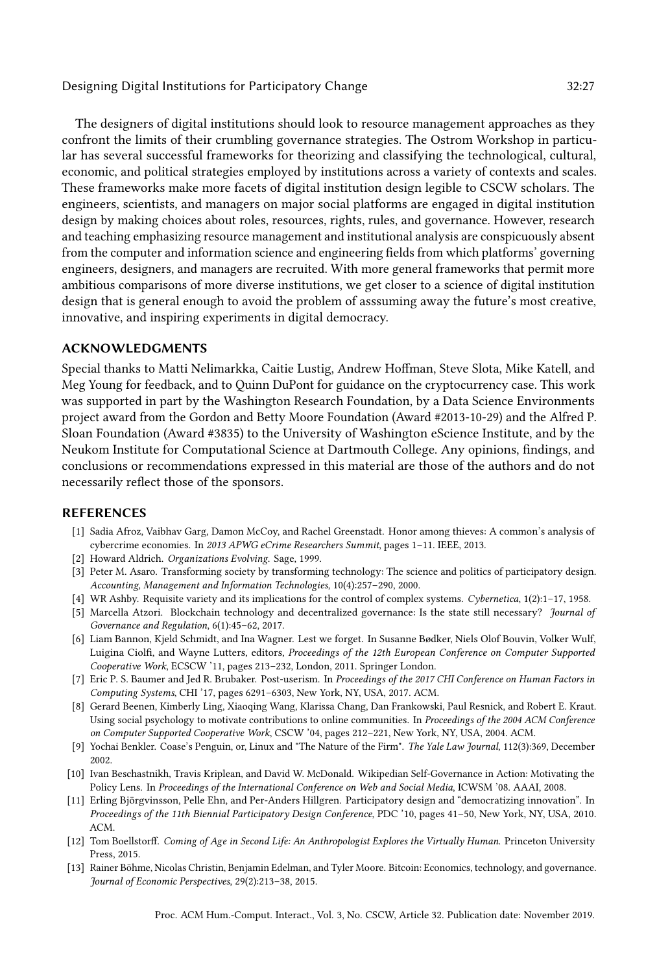The designers of digital institutions should look to resource management approaches as they confront the limits of their crumbling governance strategies. The Ostrom Workshop in particular has several successful frameworks for theorizing and classifying the technological, cultural, economic, and political strategies employed by institutions across a variety of contexts and scales. These frameworks make more facets of digital institution design legible to CSCW scholars. The engineers, scientists, and managers on major social platforms are engaged in digital institution design by making choices about roles, resources, rights, rules, and governance. However, research and teaching emphasizing resource management and institutional analysis are conspicuously absent from the computer and information science and engineering fields from which platforms' governing engineers, designers, and managers are recruited. With more general frameworks that permit more ambitious comparisons of more diverse institutions, we get closer to a science of digital institution design that is general enough to avoid the problem of asssuming away the future's most creative, innovative, and inspiring experiments in digital democracy.

#### ACKNOWLEDGMENTS

Special thanks to Matti Nelimarkka, Caitie Lustig, Andrew Hoffman, Steve Slota, Mike Katell, and Meg Young for feedback, and to Quinn DuPont for guidance on the cryptocurrency case. This work was supported in part by the Washington Research Foundation, by a Data Science Environments project award from the Gordon and Betty Moore Foundation (Award #2013-10-29) and the Alfred P. Sloan Foundation (Award #3835) to the University of Washington eScience Institute, and by the Neukom Institute for Computational Science at Dartmouth College. Any opinions, findings, and conclusions or recommendations expressed in this material are those of the authors and do not necessarily reflect those of the sponsors.

#### REFERENCES

- <span id="page-26-7"></span>[1] Sadia Afroz, Vaibhav Garg, Damon McCoy, and Rachel Greenstadt. Honor among thieves: A common's analysis of cybercrime economies. In 2013 APWG eCrime Researchers Summit, pages 1-11. IEEE, 2013.
- <span id="page-26-0"></span>[2] Howard Aldrich. Organizations Evolving. Sage, 1999.
- <span id="page-26-1"></span>[3] Peter M. Asaro. Transforming society by transforming technology: The science and politics of participatory design. Accounting, Management and Information Technologies, 10(4):257–290, 2000.
- <span id="page-26-8"></span>[4] WR Ashby. Requisite variety and its implications for the control of complex systems. Cybernetica, 1(2):1–17, 1958.
- <span id="page-26-9"></span>[5] Marcella Atzori. Blockchain technology and decentralized governance: Is the state still necessary? Journal of Governance and Regulation, 6(1):45–62, 2017.
- <span id="page-26-2"></span>[6] Liam Bannon, Kjeld Schmidt, and Ina Wagner. Lest we forget. In Susanne Bødker, Niels Olof Bouvin, Volker Wulf, Luigina Ciolfi, and Wayne Lutters, editors, Proceedings of the 12th European Conference on Computer Supported Cooperative Work, ECSCW '11, pages 213–232, London, 2011. Springer London.
- <span id="page-26-12"></span>[7] Eric P. S. Baumer and Jed R. Brubaker. Post-userism. In Proceedings of the 2017 CHI Conference on Human Factors in Computing Systems, CHI '17, pages 6291–6303, New York, NY, USA, 2017. ACM.
- <span id="page-26-5"></span>[8] Gerard Beenen, Kimberly Ling, Xiaoqing Wang, Klarissa Chang, Dan Frankowski, Paul Resnick, and Robert E. Kraut. Using social psychology to motivate contributions to online communities. In Proceedings of the 2004 ACM Conference on Computer Supported Cooperative Work, CSCW '04, pages 212–221, New York, NY, USA, 2004. ACM.
- <span id="page-26-6"></span>[9] Yochai Benkler. Coase's Penguin, or, Linux and "The Nature of the Firm". The Yale Law Journal, 112(3):369, December 2002.
- <span id="page-26-3"></span>[10] Ivan Beschastnikh, Travis Kriplean, and David W. McDonald. Wikipedian Self-Governance in Action: Motivating the Policy Lens. In Proceedings of the International Conference on Web and Social Media, ICWSM '08. AAAI, 2008.
- <span id="page-26-4"></span>[11] Erling Björgvinsson, Pelle Ehn, and Per-Anders Hillgren. Participatory design and "democratizing innovation". In Proceedings of the 11th Biennial Participatory Design Conference, PDC '10, pages 41–50, New York, NY, USA, 2010. ACM.
- <span id="page-26-11"></span>[12] Tom Boellstorff. Coming of Age in Second Life: An Anthropologist Explores the Virtually Human. Princeton University Press, 2015.
- <span id="page-26-10"></span>[13] Rainer Böhme, Nicolas Christin, Benjamin Edelman, and Tyler Moore. Bitcoin: Economics, technology, and governance. Journal of Economic Perspectives, 29(2):213–38, 2015.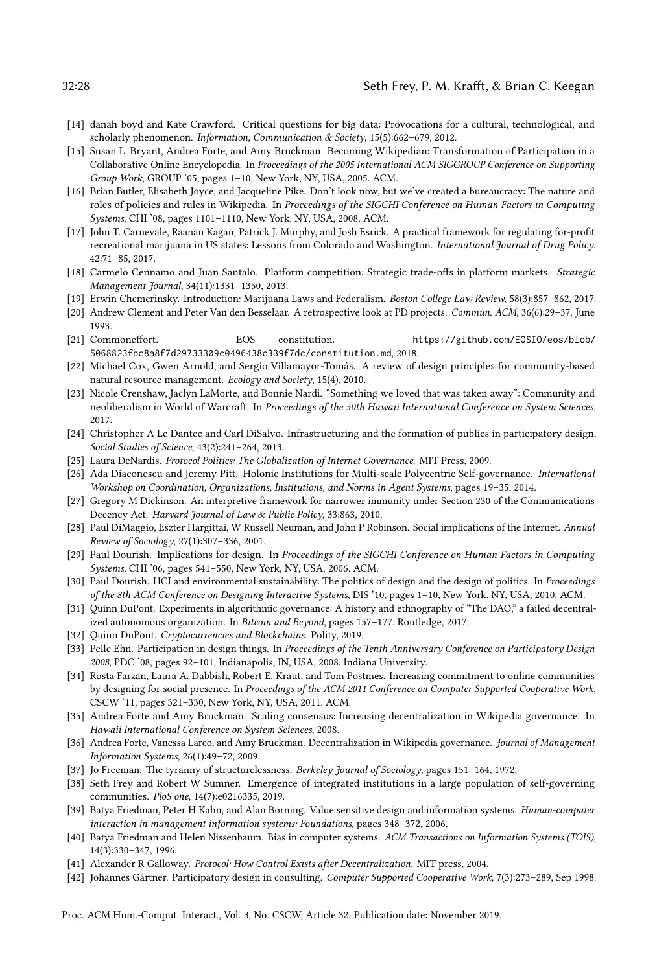- <span id="page-27-0"></span>[14] danah boyd and Kate Crawford. Critical questions for big data: Provocations for a cultural, technological, and scholarly phenomenon. Information, Communication & Society, 15(5):662–679, 2012.
- <span id="page-27-17"></span>[15] Susan L. Bryant, Andrea Forte, and Amy Bruckman. Becoming Wikipedian: Transformation of Participation in a Collaborative Online Encyclopedia. In Proceedings of the 2005 International ACM SIGGROUP Conference on Supporting Group Work, GROUP '05, pages 1–10, New York, NY, USA, 2005. ACM.
- <span id="page-27-18"></span>[16] Brian Butler, Elisabeth Joyce, and Jacqueline Pike. Don't look now, but we've created a bureaucracy: The nature and roles of policies and rules in Wikipedia. In Proceedings of the SIGCHI Conference on Human Factors in Computing Systems, CHI '08, pages 1101–1110, New York, NY, USA, 2008. ACM.
- <span id="page-27-25"></span>[17] John T. Carnevale, Raanan Kagan, Patrick J. Murphy, and Josh Esrick. A practical framework for regulating for-profit recreational marijuana in US states: Lessons from Colorado and Washington. International Journal of Drug Policy, 42:71–85, 2017.
- <span id="page-27-22"></span>[18] Carmelo Cennamo and Juan Santalo. Platform competition: Strategic trade-offs in platform markets. Strategic Management Journal, 34(11):1331–1350, 2013.
- <span id="page-27-24"></span>[19] Erwin Chemerinsky. Introduction: Marijuana Laws and Federalism. Boston College Law Review, 58(3):857–862, 2017.
- <span id="page-27-8"></span>[20] Andrew Clement and Peter Van den Besselaar. A retrospective look at PD projects. Commun. ACM, 36(6):29–37, June 1993.
- <span id="page-27-23"></span>[21] Commoneffort. EOS constitution. https://github.com/EOSIO/eos/blob/ 5068823fbc8a8f7d29733309c0496438c339f7dc/constitution.md, 2018.
- <span id="page-27-12"></span>[22] Michael Cox, Gwen Arnold, and Sergio Villamayor-Tomás. A review of design principles for community-based natural resource management. Ecology and Society, 15(4), 2010.
- <span id="page-27-26"></span>[23] Nicole Crenshaw, Jaclyn LaMorte, and Bonnie Nardi. "Something we loved that was taken away": Community and neoliberalism in World of Warcraft. In Proceedings of the 50th Hawaii International Conference on System Sciences, 2017.
- <span id="page-27-9"></span>[24] Christopher A Le Dantec and Carl DiSalvo. Infrastructuring and the formation of publics in participatory design. Social Studies of Science, 43(2):241–264, 2013.
- <span id="page-27-3"></span>[25] Laura DeNardis. Protocol Politics: The Globalization of Internet Governance. MIT Press, 2009.
- <span id="page-27-16"></span>[26] Ada Diaconescu and Jeremy Pitt. Holonic Institutions for Multi-scale Polycentric Self-governance. International Workshop on Coordination, Organizations, Institutions, and Norms in Agent Systems, pages 19–35, 2014.
- <span id="page-27-6"></span>[27] Gregory M Dickinson. An interpretive framework for narrower immunity under Section 230 of the Communications Decency Act. Harvard Journal of Law & Public Policy, 33:863, 2010.
- <span id="page-27-5"></span>[28] Paul DiMaggio, Eszter Hargittai, W Russell Neuman, and John P Robinson. Social implications of the Internet. Annual Review of Sociology, 27(1):307–336, 2001.
- <span id="page-27-27"></span>[29] Paul Dourish. Implications for design. In Proceedings of the SIGCHI Conference on Human Factors in Computing Systems, CHI '06, pages 541–550, New York, NY, USA, 2006. ACM.
- <span id="page-27-28"></span>[30] Paul Dourish. HCI and environmental sustainability: The politics of design and the design of politics. In Proceedings of the 8th ACM Conference on Designing Interactive Systems, DIS '10, pages 1–10, New York, NY, USA, 2010. ACM.
- <span id="page-27-21"></span>[31] Quinn DuPont. Experiments in algorithmic governance: A history and ethnography of "The DAO," a failed decentralized autonomous organization. In Bitcoin and Beyond, pages 157–177. Routledge, 2017.
- <span id="page-27-20"></span>[32] Quinn DuPont. Cryptocurrencies and Blockchains. Polity, 2019.
- <span id="page-27-10"></span>[33] Pelle Ehn. Participation in design things. In Proceedings of the Tenth Anniversary Conference on Participatory Design 2008, PDC '08, pages 92–101, Indianapolis, IN, USA, 2008. Indiana University.
- <span id="page-27-11"></span>[34] Rosta Farzan, Laura A. Dabbish, Robert E. Kraut, and Tom Postmes. Increasing commitment to online communities by designing for social presence. In Proceedings of the ACM 2011 Conference on Computer Supported Cooperative Work, CSCW '11, pages 321–330, New York, NY, USA, 2011. ACM.
- <span id="page-27-13"></span>[35] Andrea Forte and Amy Bruckman. Scaling consensus: Increasing decentralization in Wikipedia governance. In Hawaii International Conference on System Sciences, 2008.
- <span id="page-27-14"></span>[36] Andrea Forte, Vanessa Larco, and Amy Bruckman. Decentralization in Wikipedia governance. Journal of Management Information Systems, 26(1):49–72, 2009.
- <span id="page-27-19"></span>[37] Jo Freeman. The tyranny of structurelessness. Berkeley Journal of Sociology, pages 151-164, 1972.
- <span id="page-27-15"></span>[38] Seth Frey and Robert W Sumner. Emergence of integrated institutions in a large population of self-governing communities. PloS one, 14(7):e0216335, 2019.
- <span id="page-27-1"></span>[39] Batya Friedman, Peter H Kahn, and Alan Borning. Value sensitive design and information systems. Human-computer interaction in management information systems: Foundations, pages 348–372, 2006.
- <span id="page-27-2"></span>[40] Batya Friedman and Helen Nissenbaum. Bias in computer systems. ACM Transactions on Information Systems (TOIS), 14(3):330–347, 1996.
- <span id="page-27-4"></span>[41] Alexander R Galloway. Protocol: How Control Exists after Decentralization. MIT press, 2004.
- <span id="page-27-7"></span>[42] Johannes Gärtner. Participatory design in consulting. Computer Supported Cooperative Work, 7(3):273–289, Sep 1998.

Proc. ACM Hum.-Comput. Interact., Vol. 3, No. CSCW, Article 32. Publication date: November 2019.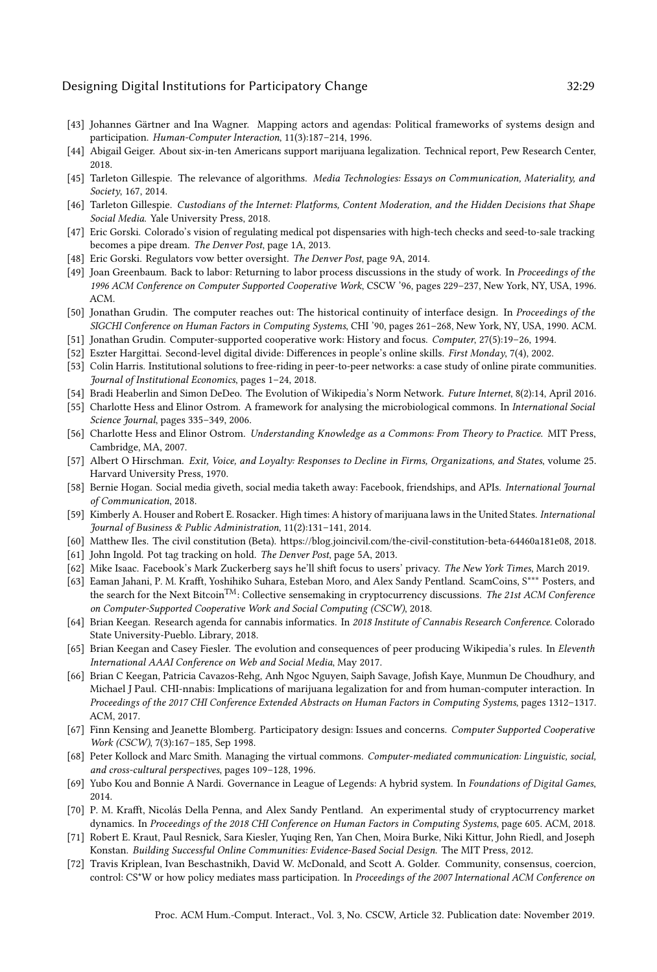- <span id="page-28-6"></span>[43] Johannes Gärtner and Ina Wagner. Mapping actors and agendas: Political frameworks of systems design and participation. Human-Computer Interaction, 11(3):187–214, 1996.
- <span id="page-28-22"></span>[44] Abigail Geiger. About six-in-ten Americans support marijuana legalization. Technical report, Pew Research Center, 2018.
- <span id="page-28-1"></span>[45] Tarleton Gillespie. The relevance of algorithms. Media Technologies: Essays on Communication, Materiality, and Society, 167, 2014.
- <span id="page-28-2"></span>[46] Tarleton Gillespie. Custodians of the Internet: Platforms, Content Moderation, and the Hidden Decisions that Shape Social Media. Yale University Press, 2018.
- <span id="page-28-24"></span>[47] Eric Gorski. Colorado's vision of regulating medical pot dispensaries with high-tech checks and seed-to-sale tracking becomes a pipe dream. The Denver Post, page 1A, 2013.
- <span id="page-28-26"></span>[48] Eric Gorski. Regulators vow better oversight. The Denver Post, page 9A, 2014.
- <span id="page-28-7"></span>[49] Joan Greenbaum. Back to labor: Returning to labor process discussions in the study of work. In Proceedings of the 1996 ACM Conference on Computer Supported Cooperative Work, CSCW '96, pages 229–237, New York, NY, USA, 1996. ACM.
- <span id="page-28-28"></span>[50] Jonathan Grudin. The computer reaches out: The historical continuity of interface design. In Proceedings of the SIGCHI Conference on Human Factors in Computing Systems, CHI '90, pages 261–268, New York, NY, USA, 1990. ACM.
- <span id="page-28-4"></span>[51] Jonathan Grudin. Computer-supported cooperative work: History and focus. Computer, 27(5):19–26, 1994.
- <span id="page-28-3"></span>[52] Eszter Hargittai. Second-level digital divide: Differences in people's online skills. First Monday, 7(4), 2002.
- <span id="page-28-16"></span>[53] Colin Harris. Institutional solutions to free-riding in peer-to-peer networks: a case study of online pirate communities. Journal of Institutional Economics, pages 1–24, 2018.
- <span id="page-28-8"></span>[54] Bradi Heaberlin and Simon DeDeo. The Evolution of Wikipedia's Norm Network. Future Internet, 8(2):14, April 2016.
- <span id="page-28-15"></span>[55] Charlotte Hess and Elinor Ostrom. A framework for analysing the microbiological commons. In International Social Science Journal, pages 335–349, 2006.
- <span id="page-28-14"></span>[56] Charlotte Hess and Elinor Ostrom. Understanding Knowledge as a Commons: From Theory to Practice. MIT Press, Cambridge, MA, 2007.
- <span id="page-28-11"></span>[57] Albert O Hirschman. Exit, Voice, and Loyalty: Responses to Decline in Firms, Organizations, and States, volume 25. Harvard University Press, 1970.
- <span id="page-28-29"></span>[58] Bernie Hogan. Social media giveth, social media taketh away: Facebook, friendships, and APIs. International Journal of Communication, 2018.
- <span id="page-28-23"></span>[59] Kimberly A. Houser and Robert E. Rosacker. High times: A history of marijuana laws in the United States. International Journal of Business & Public Administration, 11(2):131–141, 2014.
- <span id="page-28-21"></span>[60] Matthew Iles. The civil constitution (Beta). https://blog.joincivil.com/the-civil-constitution-beta-64460a181e08, 2018.
- <span id="page-28-25"></span>[61] John Ingold. Pot tag tracking on hold. The Denver Post, page 5A, 2013.
- <span id="page-28-12"></span>[62] Mike Isaac. Facebook's Mark Zuckerberg says he'll shift focus to users' privacy. The New York Times, March 2019.
- <span id="page-28-17"></span>[63] Eaman Jahani, P. M. Krafft, Yoshihiko Suhara, Esteban Moro, and Alex Sandy Pentland. ScamCoins, S∗∗∗ Posters, and the search for the Next Bitcoin<sup>TM</sup>: Collective sensemaking in cryptocurrency discussions. The 21st ACM Conference on Computer-Supported Cooperative Work and Social Computing (CSCW), 2018.
- <span id="page-28-18"></span>[64] Brian Keegan. Research agenda for cannabis informatics. In 2018 Institute of Cannabis Research Conference. Colorado State University-Pueblo. Library, 2018.
- <span id="page-28-9"></span>[65] Brian Keegan and Casey Fiesler. The evolution and consequences of peer producing Wikipedia's rules. In Eleventh International AAAI Conference on Web and Social Media, May 2017.
- <span id="page-28-19"></span>[66] Brian C Keegan, Patricia Cavazos-Rehg, Anh Ngoc Nguyen, Saiph Savage, Jofish Kaye, Munmun De Choudhury, and Michael J Paul. CHI-nnabis: Implications of marijuana legalization for and from human-computer interaction. In Proceedings of the 2017 CHI Conference Extended Abstracts on Human Factors in Computing Systems, pages 1312–1317. ACM, 2017.
- <span id="page-28-5"></span>[67] Finn Kensing and Jeanette Blomberg. Participatory design: Issues and concerns. Computer Supported Cooperative Work (CSCW), 7(3):167–185, Sep 1998.
- <span id="page-28-13"></span>[68] Peter Kollock and Marc Smith. Managing the virtual commons. Computer-mediated communication: Linguistic, social, and cross-cultural perspectives, pages 109–128, 1996.
- <span id="page-28-27"></span>[69] Yubo Kou and Bonnie A Nardi. Governance in League of Legends: A hybrid system. In Foundations of Digital Games, 2014.
- <span id="page-28-20"></span>[70] P. M. Krafft, Nicolás Della Penna, and Alex Sandy Pentland. An experimental study of cryptocurrency market dynamics. In Proceedings of the 2018 CHI Conference on Human Factors in Computing Systems, page 605. ACM, 2018.
- <span id="page-28-0"></span>[71] Robert E. Kraut, Paul Resnick, Sara Kiesler, Yuqing Ren, Yan Chen, Moira Burke, Niki Kittur, John Riedl, and Joseph Konstan. Building Successful Online Communities: Evidence-Based Social Design. The MIT Press, 2012.
- <span id="page-28-10"></span>[72] Travis Kriplean, Ivan Beschastnikh, David W. McDonald, and Scott A. Golder. Community, consensus, coercion, control: CS\*W or how policy mediates mass participation. In Proceedings of the 2007 International ACM Conference on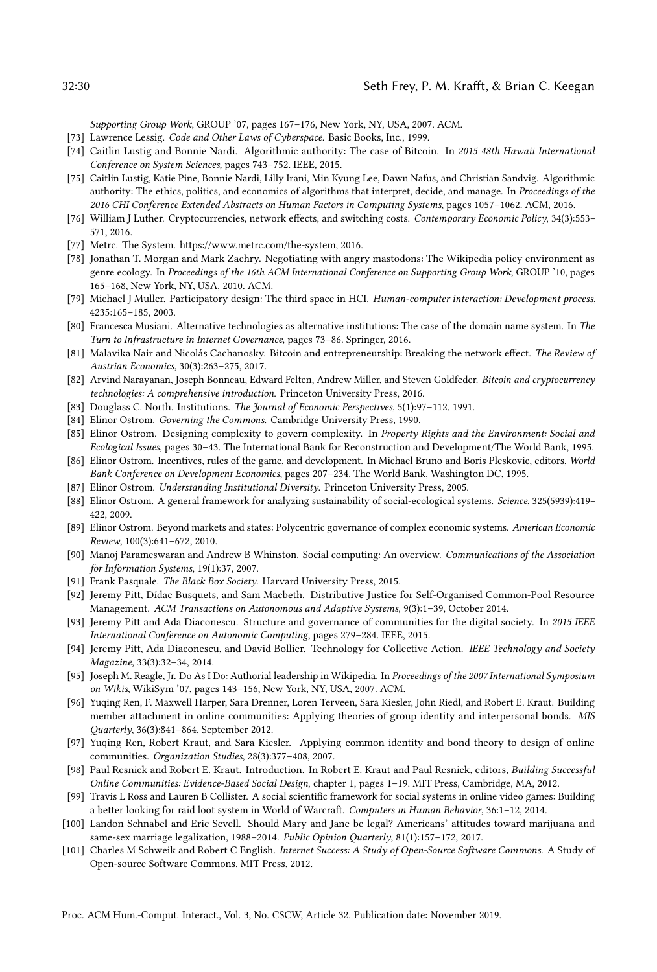Supporting Group Work, GROUP '07, pages 167–176, New York, NY, USA, 2007. ACM.

- <span id="page-29-2"></span>[73] Lawrence Lessig. Code and Other Laws of Cyberspace. Basic Books, Inc., 1999.
- <span id="page-29-22"></span>[74] Caitlin Lustig and Bonnie Nardi. Algorithmic authority: The case of Bitcoin. In 2015 48th Hawaii International Conference on System Sciences, pages 743–752. IEEE, 2015.
- <span id="page-29-4"></span>[75] Caitlin Lustig, Katie Pine, Bonnie Nardi, Lilly Irani, Min Kyung Lee, Dawn Nafus, and Christian Sandvig. Algorithmic authority: The ethics, politics, and economics of algorithms that interpret, decide, and manage. In Proceedings of the 2016 CHI Conference Extended Abstracts on Human Factors in Computing Systems, pages 1057–1062. ACM, 2016.
- <span id="page-29-23"></span>[76] William J Luther. Cryptocurrencies, network effects, and switching costs. Contemporary Economic Policy, 34(3):553– 571, 2016.
- <span id="page-29-26"></span>[77] Metrc. The System. https://www.metrc.com/the-system, 2016.
- <span id="page-29-19"></span>[78] Jonathan T. Morgan and Mark Zachry. Negotiating with angry mastodons: The Wikipedia policy environment as genre ecology. In Proceedings of the 16th ACM International Conference on Supporting Group Work, GROUP '10, pages 165–168, New York, NY, USA, 2010. ACM.
- <span id="page-29-9"></span>[79] Michael J Muller. Participatory design: The third space in HCI. Human-computer interaction: Development process, 4235:165–185, 2003.
- <span id="page-29-5"></span>[80] Francesca Musiani. Alternative technologies as alternative institutions: The case of the domain name system. In The Turn to Infrastructure in Internet Governance, pages 73–86. Springer, 2016.
- <span id="page-29-24"></span>[81] Malavika Nair and Nicolás Cachanosky. Bitcoin and entrepreneurship: Breaking the network effect. The Review of Austrian Economics, 30(3):263–275, 2017.
- <span id="page-29-21"></span>[82] Arvind Narayanan, Joseph Bonneau, Edward Felten, Andrew Miller, and Steven Goldfeder. Bitcoin and cryptocurrency technologies: A comprehensive introduction. Princeton University Press, 2016.
- <span id="page-29-0"></span>[83] Douglass C. North. Institutions. The Journal of Economic Perspectives, 5(1):97–112, 1991.
- <span id="page-29-8"></span>[84] Elinor Ostrom. Governing the Commons. Cambridge University Press, 1990.
- <span id="page-29-20"></span>[85] Elinor Ostrom. Designing complexity to govern complexity. In Property Rights and the Environment: Social and Ecological Issues, pages 30–43. The International Bank for Reconstruction and Development/The World Bank, 1995.
- <span id="page-29-14"></span>[86] Elinor Ostrom. Incentives, rules of the game, and development. In Michael Bruno and Boris Pleskovic, editors, World Bank Conference on Development Economics, pages 207–234. The World Bank, Washington DC, 1995.
- <span id="page-29-1"></span>[87] Elinor Ostrom. Understanding Institutional Diversity. Princeton University Press, 2005.
- <span id="page-29-27"></span>[88] Elinor Ostrom. A general framework for analyzing sustainability of social-ecological systems. Science, 325(5939):419– 422, 2009.
- <span id="page-29-28"></span>[89] Elinor Ostrom. Beyond markets and states: Polycentric governance of complex economic systems. American Economic Review, 100(3):641–672, 2010.
- <span id="page-29-7"></span>[90] Manoj Parameswaran and Andrew B Whinston. Social computing: An overview. Communications of the Association for Information Systems, 19(1):37, 2007.
- <span id="page-29-17"></span><span id="page-29-6"></span>[91] Frank Pasquale. The Black Box Society. Harvard University Press, 2015.
- [92] Jeremy Pitt, Dídac Busquets, and Sam Macbeth. Distributive Justice for Self-Organised Common-Pool Resource Management. ACM Transactions on Autonomous and Adaptive Systems, 9(3):1–39, October 2014.
- <span id="page-29-13"></span>[93] Jeremy Pitt and Ada Diaconescu. Structure and governance of communities for the digital society. In 2015 IEEE International Conference on Autonomic Computing, pages 279–284. IEEE, 2015.
- <span id="page-29-18"></span>[94] Jeremy Pitt, Ada Diaconescu, and David Bollier. Technology for Collective Action. IEEE Technology and Society Magazine, 33(3):32–34, 2014.
- <span id="page-29-12"></span>[95] Joseph M. Reagle, Jr. Do As I Do: Authorial leadership in Wikipedia. In Proceedings of the 2007 International Symposium on Wikis, WikiSym '07, pages 143–156, New York, NY, USA, 2007. ACM.
- <span id="page-29-10"></span>[96] Yuqing Ren, F. Maxwell Harper, Sara Drenner, Loren Terveen, Sara Kiesler, John Riedl, and Robert E. Kraut. Building member attachment in online communities: Applying theories of group identity and interpersonal bonds. MIS Quarterly, 36(3):841–864, September 2012.
- <span id="page-29-11"></span>[97] Yuqing Ren, Robert Kraut, and Sara Kiesler. Applying common identity and bond theory to design of online communities. Organization Studies, 28(3):377–408, 2007.
- <span id="page-29-3"></span>[98] Paul Resnick and Robert E. Kraut. Introduction. In Robert E. Kraut and Paul Resnick, editors, Building Successful Online Communities: Evidence-Based Social Design, chapter 1, pages 1–19. MIT Press, Cambridge, MA, 2012.
- <span id="page-29-16"></span>[99] Travis L Ross and Lauren B Collister. A social scientific framework for social systems in online video games: Building a better looking for raid loot system in World of Warcraft. Computers in Human Behavior, 36:1–12, 2014.
- <span id="page-29-25"></span>[100] Landon Schnabel and Eric Sevell. Should Mary and Jane be legal? Americans' attitudes toward marijuana and same-sex marriage legalization, 1988-2014. Public Opinion Quarterly, 81(1):157-172, 2017.
- <span id="page-29-15"></span>[101] Charles M Schweik and Robert C English. Internet Success: A Study of Open-Source Software Commons. A Study of Open-source Software Commons. MIT Press, 2012.